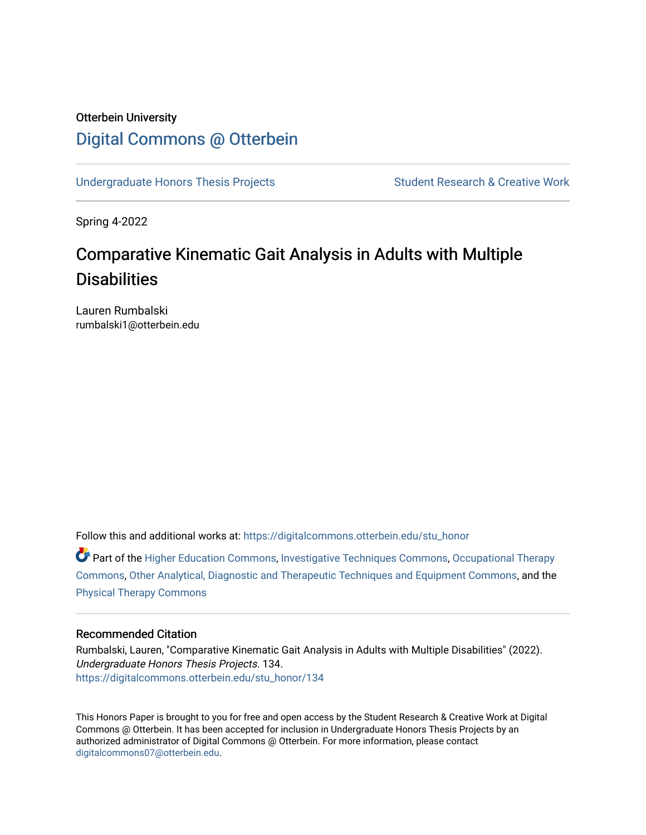# Otterbein University [Digital Commons @ Otterbein](https://digitalcommons.otterbein.edu/)

[Undergraduate Honors Thesis Projects](https://digitalcommons.otterbein.edu/stu_honor) Student Research & Creative Work

Spring 4-2022

# Comparative Kinematic Gait Analysis in Adults with Multiple **Disabilities**

Lauren Rumbalski rumbalski1@otterbein.edu

Follow this and additional works at: [https://digitalcommons.otterbein.edu/stu\\_honor](https://digitalcommons.otterbein.edu/stu_honor?utm_source=digitalcommons.otterbein.edu%2Fstu_honor%2F134&utm_medium=PDF&utm_campaign=PDFCoverPages)

 $\bullet$  Part of the [Higher Education Commons,](https://network.bepress.com/hgg/discipline/1245?utm_source=digitalcommons.otterbein.edu%2Fstu_honor%2F134&utm_medium=PDF&utm_campaign=PDFCoverPages) [Investigative Techniques Commons,](https://network.bepress.com/hgg/discipline/922?utm_source=digitalcommons.otterbein.edu%2Fstu_honor%2F134&utm_medium=PDF&utm_campaign=PDFCoverPages) Occupational Therapy [Commons](https://network.bepress.com/hgg/discipline/752?utm_source=digitalcommons.otterbein.edu%2Fstu_honor%2F134&utm_medium=PDF&utm_campaign=PDFCoverPages), [Other Analytical, Diagnostic and Therapeutic Techniques and Equipment Commons](https://network.bepress.com/hgg/discipline/994?utm_source=digitalcommons.otterbein.edu%2Fstu_honor%2F134&utm_medium=PDF&utm_campaign=PDFCoverPages), and the [Physical Therapy Commons](https://network.bepress.com/hgg/discipline/754?utm_source=digitalcommons.otterbein.edu%2Fstu_honor%2F134&utm_medium=PDF&utm_campaign=PDFCoverPages) 

#### Recommended Citation

Rumbalski, Lauren, "Comparative Kinematic Gait Analysis in Adults with Multiple Disabilities" (2022). Undergraduate Honors Thesis Projects. 134. [https://digitalcommons.otterbein.edu/stu\\_honor/134](https://digitalcommons.otterbein.edu/stu_honor/134?utm_source=digitalcommons.otterbein.edu%2Fstu_honor%2F134&utm_medium=PDF&utm_campaign=PDFCoverPages)

This Honors Paper is brought to you for free and open access by the Student Research & Creative Work at Digital Commons @ Otterbein. It has been accepted for inclusion in Undergraduate Honors Thesis Projects by an authorized administrator of Digital Commons @ Otterbein. For more information, please contact [digitalcommons07@otterbein.edu](mailto:digitalcommons07@otterbein.edu).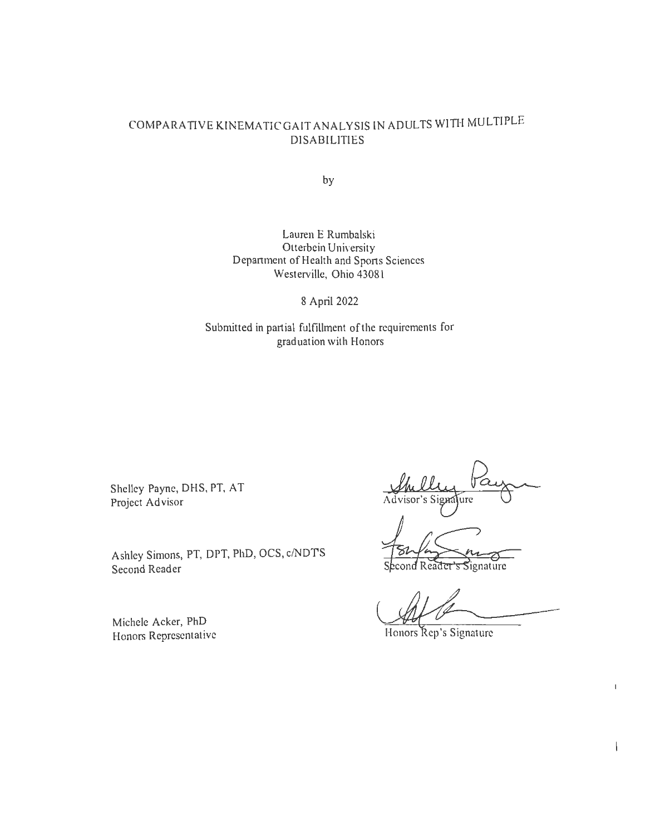# COMPARATIVE KINEMATICGAIT ANALYSIS IN ADULTS WITH MULTIPLE DISABILITIES

by

Lauren E Rumbalski Otterbein University Department of Health and Sports Sciences Westerville, Ohio 4308 l

8 April 2022

Submitted in partial fulfillment of the requirements for graduation with Honors

Shelley Payne, OHS, PT, AT Project Ad visor

Ashley Simons, PT, DPT, PhD, OCS, c/NDT'S Second Reader

Advisor's Signature

Signature

Ad Comparative -----

 $\overline{1}$ 

 $\overline{1}$ 

Michele Acker, PhD Honors Representative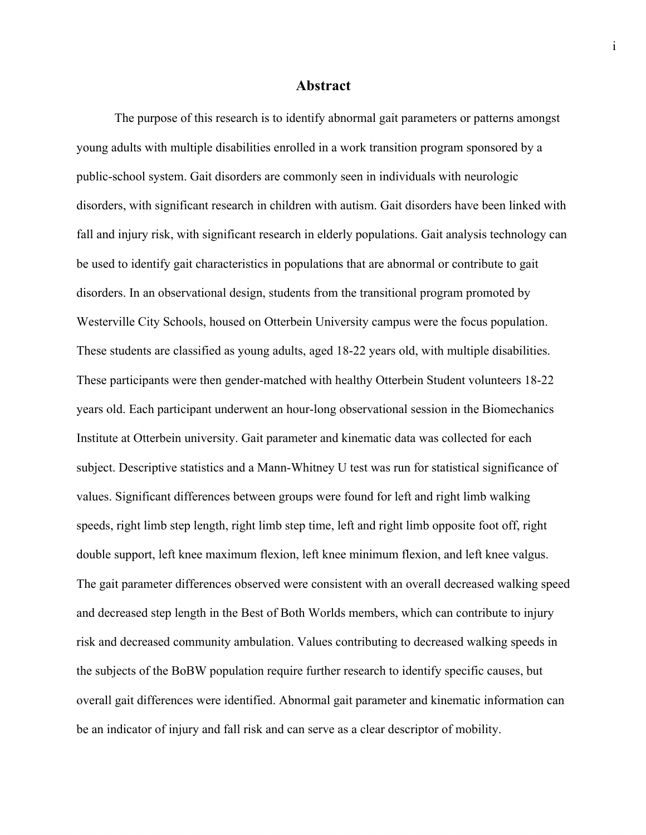### **Abstract**

The purpose of this research is to identify abnormal gait parameters or patterns amongst young adults with multiple disabilities enrolled in a work transition program sponsored by a public-school system. Gait disorders are commonly seen in individuals with neurologic disorders, with significant research in children with autism. Gait disorders have been linked with fall and injury risk, with significant research in elderly populations. Gait analysis technology can be used to identify gait characteristics in populations that are abnormal or contribute to gait disorders. In an observational design, students from the transitional program promoted by Westerville City Schools, housed on Otterbein University campus were the focus population. These students are classified as young adults, aged 18-22 years old, with multiple disabilities. These participants were then gender-matched with healthy Otterbein Student volunteers 18-22 years old. Each participant underwent an hour-long observational session in the Biomechanics Institute at Otterbein university. Gait parameter and kinematic data was collected for each subject. Descriptive statistics and a Mann-Whitney U test was run for statistical significance of values. Significant differences between groups were found for left and right limb walking speeds, right limb step length, right limb step time, left and right limb opposite foot off, right double support, left knee maximum flexion, left knee minimum flexion, and left knee valgus. The gait parameter differences observed were consistent with an overall decreased walking speed and decreased step length in the Best of Both Worlds members, which can contribute to injury risk and decreased community ambulation. Values contributing to decreased walking speeds in the subjects of the BoBW population require further research to identify specific causes, but overall gait differences were identified. Abnormal gait parameter and kinematic information can be an indicator of injury and fall risk and can serve as a clear descriptor of mobility.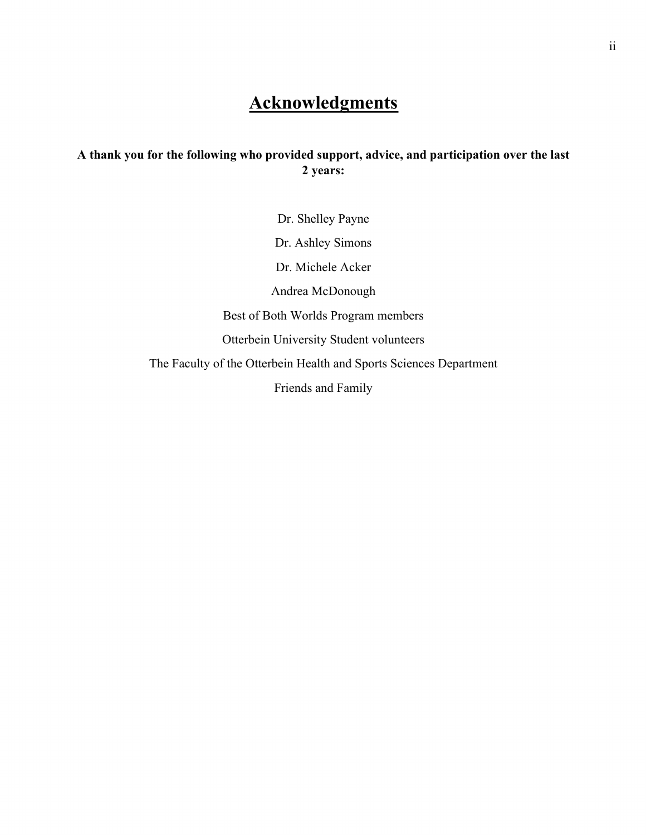# **Acknowledgments**

# **A thank you for the following who provided support, advice, and participation over the last 2 years:**

Dr. Shelley Payne Dr. Ashley Simons Dr. Michele Acker Andrea McDonough Best of Both Worlds Program members Otterbein University Student volunteers The Faculty of the Otterbein Health and Sports Sciences Department Friends and Family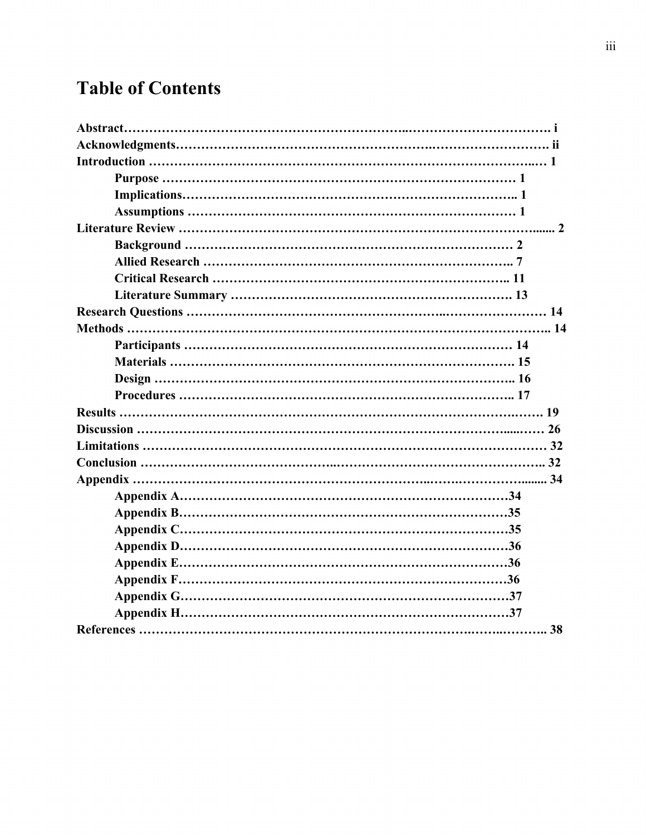# **Table of Contents**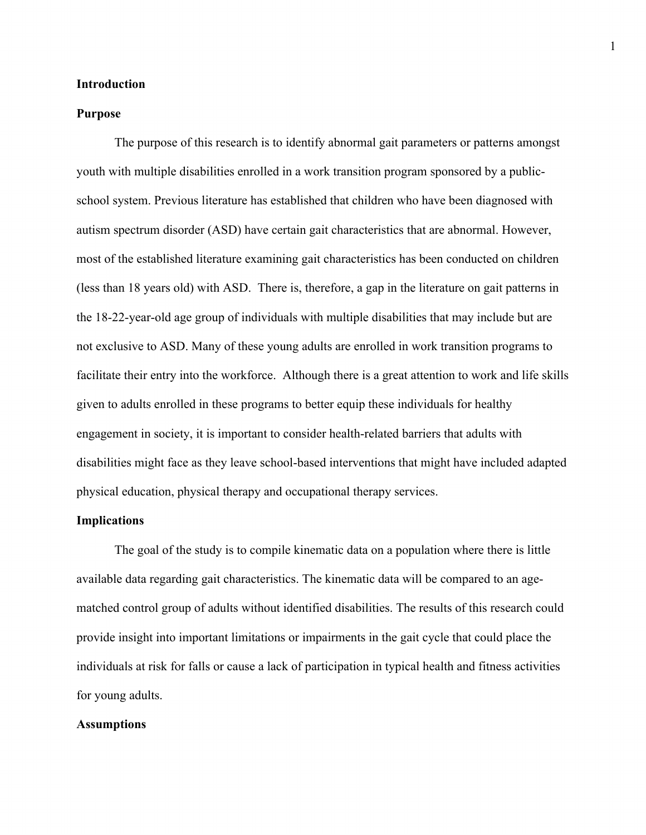### **Introduction**

#### **Purpose**

The purpose of this research is to identify abnormal gait parameters or patterns amongst youth with multiple disabilities enrolled in a work transition program sponsored by a publicschool system. Previous literature has established that children who have been diagnosed with autism spectrum disorder (ASD) have certain gait characteristics that are abnormal. However, most of the established literature examining gait characteristics has been conducted on children (less than 18 years old) with ASD. There is, therefore, a gap in the literature on gait patterns in the 18-22-year-old age group of individuals with multiple disabilities that may include but are not exclusive to ASD. Many of these young adults are enrolled in work transition programs to facilitate their entry into the workforce. Although there is a great attention to work and life skills given to adults enrolled in these programs to better equip these individuals for healthy engagement in society, it is important to consider health-related barriers that adults with disabilities might face as they leave school-based interventions that might have included adapted physical education, physical therapy and occupational therapy services.

## **Implications**

The goal of the study is to compile kinematic data on a population where there is little available data regarding gait characteristics. The kinematic data will be compared to an agematched control group of adults without identified disabilities. The results of this research could provide insight into important limitations or impairments in the gait cycle that could place the individuals at risk for falls or cause a lack of participation in typical health and fitness activities for young adults.

#### **Assumptions**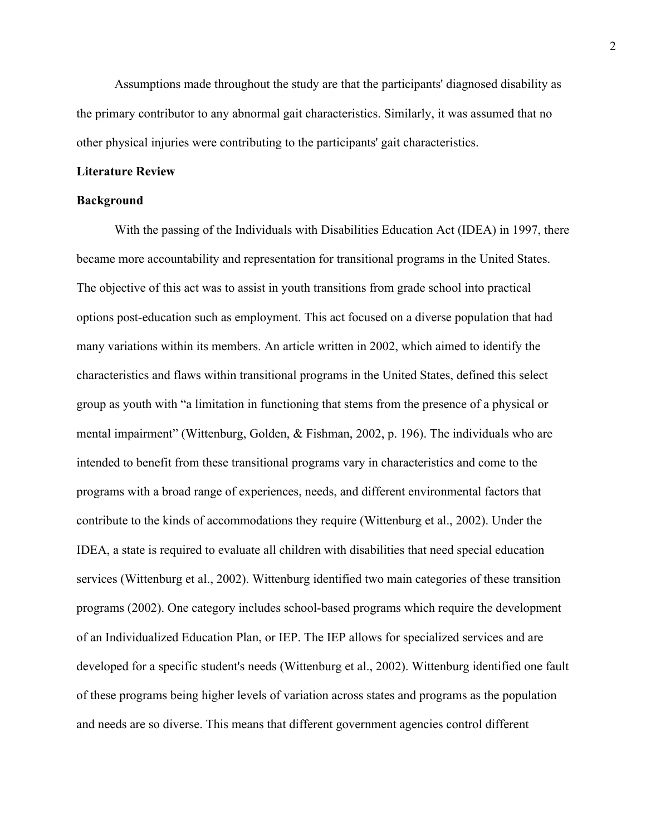Assumptions made throughout the study are that the participants' diagnosed disability as the primary contributor to any abnormal gait characteristics. Similarly, it was assumed that no other physical injuries were contributing to the participants' gait characteristics.

#### **Literature Review**

#### **Background**

With the passing of the Individuals with Disabilities Education Act (IDEA) in 1997, there became more accountability and representation for transitional programs in the United States. The objective of this act was to assist in youth transitions from grade school into practical options post-education such as employment. This act focused on a diverse population that had many variations within its members. An article written in 2002, which aimed to identify the characteristics and flaws within transitional programs in the United States, defined this select group as youth with "a limitation in functioning that stems from the presence of a physical or mental impairment" (Wittenburg, Golden, & Fishman, 2002, p. 196). The individuals who are intended to benefit from these transitional programs vary in characteristics and come to the programs with a broad range of experiences, needs, and different environmental factors that contribute to the kinds of accommodations they require (Wittenburg et al., 2002). Under the IDEA, a state is required to evaluate all children with disabilities that need special education services (Wittenburg et al., 2002). Wittenburg identified two main categories of these transition programs (2002). One category includes school-based programs which require the development of an Individualized Education Plan, or IEP. The IEP allows for specialized services and are developed for a specific student's needs (Wittenburg et al., 2002). Wittenburg identified one fault of these programs being higher levels of variation across states and programs as the population and needs are so diverse. This means that different government agencies control different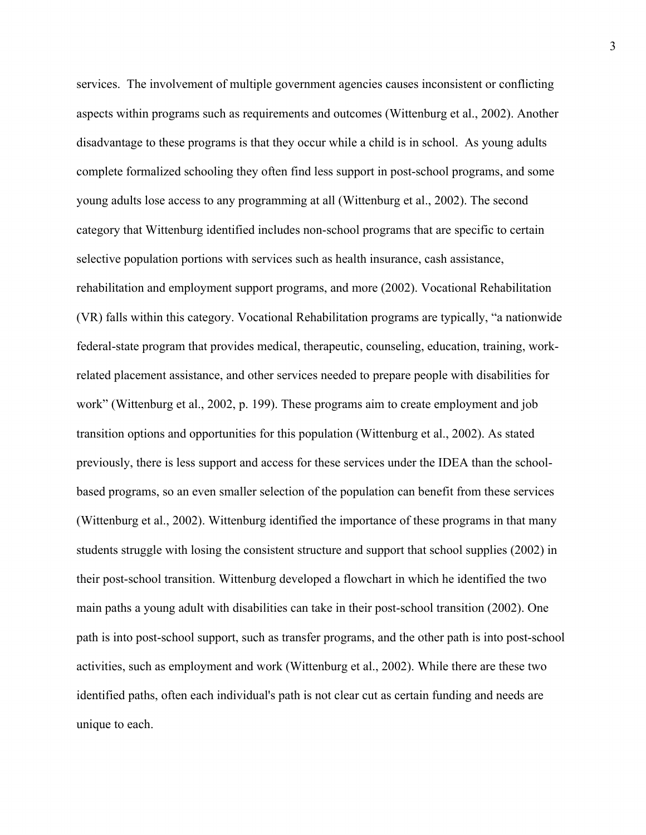services. The involvement of multiple government agencies causes inconsistent or conflicting aspects within programs such as requirements and outcomes (Wittenburg et al., 2002). Another disadvantage to these programs is that they occur while a child is in school. As young adults complete formalized schooling they often find less support in post-school programs, and some young adults lose access to any programming at all (Wittenburg et al., 2002). The second category that Wittenburg identified includes non-school programs that are specific to certain selective population portions with services such as health insurance, cash assistance, rehabilitation and employment support programs, and more (2002). Vocational Rehabilitation (VR) falls within this category. Vocational Rehabilitation programs are typically, "a nationwide federal-state program that provides medical, therapeutic, counseling, education, training, workrelated placement assistance, and other services needed to prepare people with disabilities for work" (Wittenburg et al., 2002, p. 199). These programs aim to create employment and job transition options and opportunities for this population (Wittenburg et al., 2002). As stated previously, there is less support and access for these services under the IDEA than the schoolbased programs, so an even smaller selection of the population can benefit from these services (Wittenburg et al., 2002). Wittenburg identified the importance of these programs in that many students struggle with losing the consistent structure and support that school supplies (2002) in their post-school transition. Wittenburg developed a flowchart in which he identified the two main paths a young adult with disabilities can take in their post-school transition (2002). One path is into post-school support, such as transfer programs, and the other path is into post-school activities, such as employment and work (Wittenburg et al., 2002). While there are these two identified paths, often each individual's path is not clear cut as certain funding and needs are unique to each.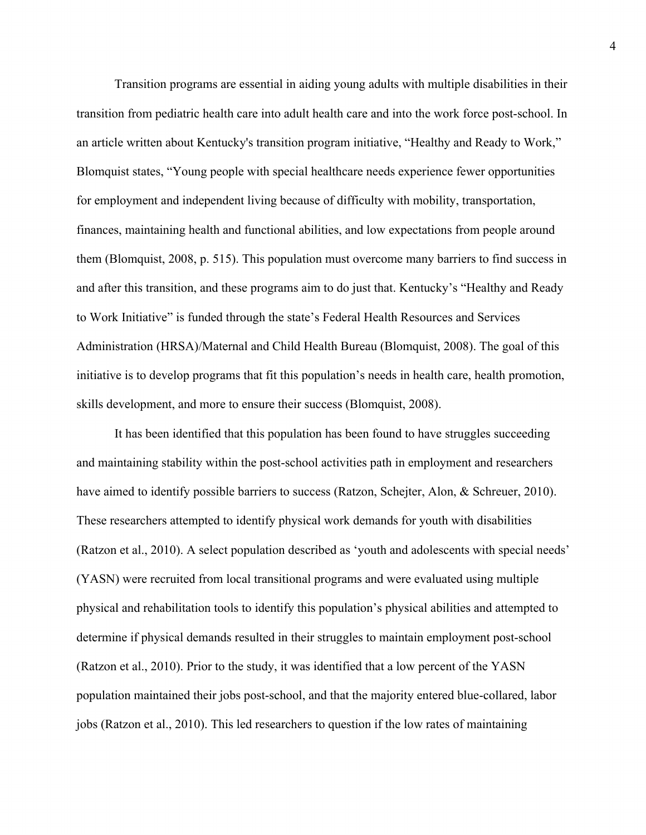Transition programs are essential in aiding young adults with multiple disabilities in their transition from pediatric health care into adult health care and into the work force post-school. In an article written about Kentucky's transition program initiative, "Healthy and Ready to Work," Blomquist states, "Young people with special healthcare needs experience fewer opportunities for employment and independent living because of difficulty with mobility, transportation, finances, maintaining health and functional abilities, and low expectations from people around them (Blomquist, 2008, p. 515). This population must overcome many barriers to find success in and after this transition, and these programs aim to do just that. Kentucky's "Healthy and Ready to Work Initiative" is funded through the state's Federal Health Resources and Services Administration (HRSA)/Maternal and Child Health Bureau (Blomquist, 2008). The goal of this initiative is to develop programs that fit this population's needs in health care, health promotion, skills development, and more to ensure their success (Blomquist, 2008).

It has been identified that this population has been found to have struggles succeeding and maintaining stability within the post-school activities path in employment and researchers have aimed to identify possible barriers to success (Ratzon, Schejter, Alon, & Schreuer, 2010). These researchers attempted to identify physical work demands for youth with disabilities (Ratzon et al., 2010). A select population described as 'youth and adolescents with special needs' (YASN) were recruited from local transitional programs and were evaluated using multiple physical and rehabilitation tools to identify this population's physical abilities and attempted to determine if physical demands resulted in their struggles to maintain employment post-school (Ratzon et al., 2010). Prior to the study, it was identified that a low percent of the YASN population maintained their jobs post-school, and that the majority entered blue-collared, labor jobs (Ratzon et al., 2010). This led researchers to question if the low rates of maintaining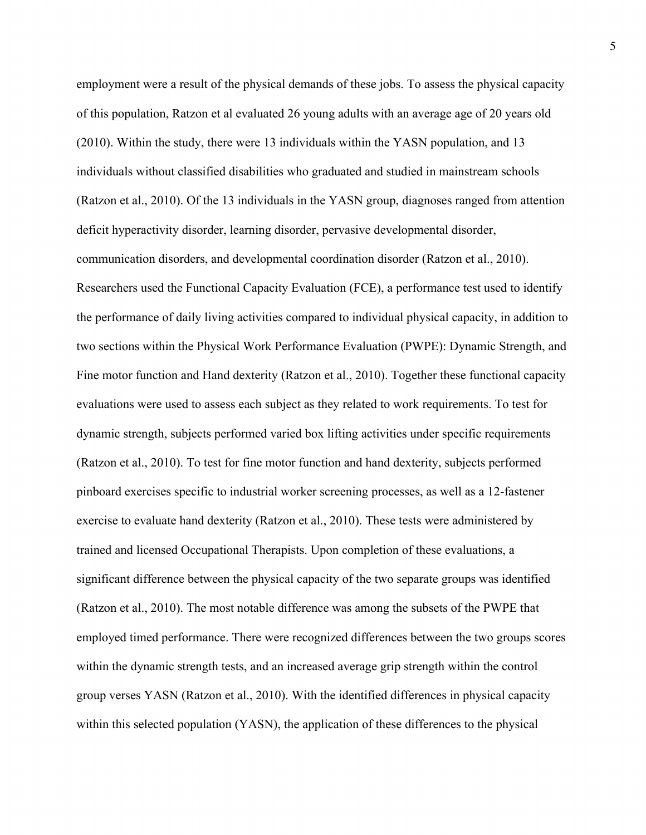employment were a result of the physical demands of these jobs. To assess the physical capacity of this population, Ratzon et al evaluated 26 young adults with an average age of 20 years old (2010). Within the study, there were 13 individuals within the YASN population, and 13 individuals without classified disabilities who graduated and studied in mainstream schools (Ratzon et al., 2010). Of the 13 individuals in the YASN group, diagnoses ranged from attention deficit hyperactivity disorder, learning disorder, pervasive developmental disorder, communication disorders, and developmental coordination disorder (Ratzon et al., 2010). Researchers used the Functional Capacity Evaluation (FCE), a performance test used to identify the performance of daily living activities compared to individual physical capacity, in addition to two sections within the Physical Work Performance Evaluation (PWPE): Dynamic Strength, and Fine motor function and Hand dexterity (Ratzon et al., 2010). Together these functional capacity evaluations were used to assess each subject as they related to work requirements. To test for dynamic strength, subjects performed varied box lifting activities under specific requirements (Ratzon et al., 2010). To test for fine motor function and hand dexterity, subjects performed pinboard exercises specific to industrial worker screening processes, as well as a 12-fastener exercise to evaluate hand dexterity (Ratzon et al., 2010). These tests were administered by trained and licensed Occupational Therapists. Upon completion of these evaluations, a significant difference between the physical capacity of the two separate groups was identified (Ratzon et al., 2010). The most notable difference was among the subsets of the PWPE that employed timed performance. There were recognized differences between the two groups scores within the dynamic strength tests, and an increased average grip strength within the control group verses YASN (Ratzon et al., 2010). With the identified differences in physical capacity within this selected population (YASN), the application of these differences to the physical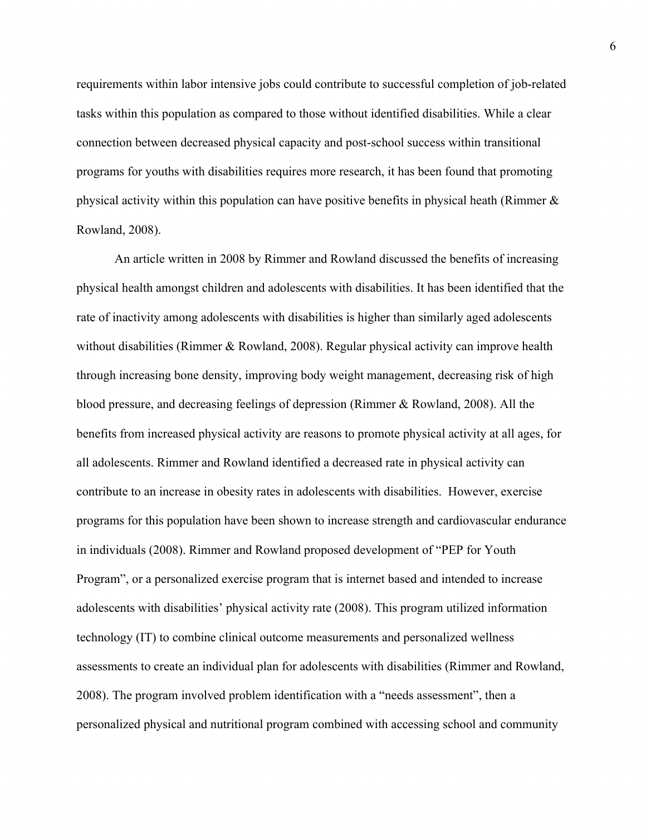requirements within labor intensive jobs could contribute to successful completion of job-related tasks within this population as compared to those without identified disabilities. While a clear connection between decreased physical capacity and post-school success within transitional programs for youths with disabilities requires more research, it has been found that promoting physical activity within this population can have positive benefits in physical heath (Rimmer  $\&$ Rowland, 2008).

An article written in 2008 by Rimmer and Rowland discussed the benefits of increasing physical health amongst children and adolescents with disabilities. It has been identified that the rate of inactivity among adolescents with disabilities is higher than similarly aged adolescents without disabilities (Rimmer & Rowland, 2008). Regular physical activity can improve health through increasing bone density, improving body weight management, decreasing risk of high blood pressure, and decreasing feelings of depression (Rimmer & Rowland, 2008). All the benefits from increased physical activity are reasons to promote physical activity at all ages, for all adolescents. Rimmer and Rowland identified a decreased rate in physical activity can contribute to an increase in obesity rates in adolescents with disabilities. However, exercise programs for this population have been shown to increase strength and cardiovascular endurance in individuals (2008). Rimmer and Rowland proposed development of "PEP for Youth Program", or a personalized exercise program that is internet based and intended to increase adolescents with disabilities' physical activity rate (2008). This program utilized information technology (IT) to combine clinical outcome measurements and personalized wellness assessments to create an individual plan for adolescents with disabilities (Rimmer and Rowland, 2008). The program involved problem identification with a "needs assessment", then a personalized physical and nutritional program combined with accessing school and community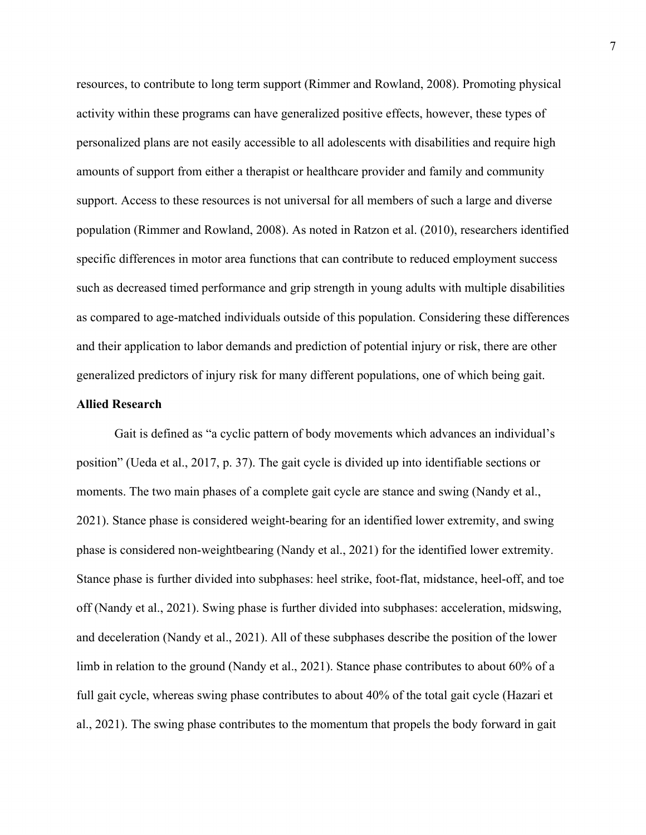resources, to contribute to long term support (Rimmer and Rowland, 2008). Promoting physical activity within these programs can have generalized positive effects, however, these types of personalized plans are not easily accessible to all adolescents with disabilities and require high amounts of support from either a therapist or healthcare provider and family and community support. Access to these resources is not universal for all members of such a large and diverse population (Rimmer and Rowland, 2008). As noted in Ratzon et al. (2010), researchers identified specific differences in motor area functions that can contribute to reduced employment success such as decreased timed performance and grip strength in young adults with multiple disabilities as compared to age-matched individuals outside of this population. Considering these differences and their application to labor demands and prediction of potential injury or risk, there are other generalized predictors of injury risk for many different populations, one of which being gait.

#### **Allied Research**

Gait is defined as "a cyclic pattern of body movements which advances an individual's position" (Ueda et al., 2017, p. 37). The gait cycle is divided up into identifiable sections or moments. The two main phases of a complete gait cycle are stance and swing (Nandy et al., 2021). Stance phase is considered weight-bearing for an identified lower extremity, and swing phase is considered non-weightbearing (Nandy et al., 2021) for the identified lower extremity. Stance phase is further divided into subphases: heel strike, foot-flat, midstance, heel-off, and toe off (Nandy et al., 2021). Swing phase is further divided into subphases: acceleration, midswing, and deceleration (Nandy et al., 2021). All of these subphases describe the position of the lower limb in relation to the ground (Nandy et al., 2021). Stance phase contributes to about 60% of a full gait cycle, whereas swing phase contributes to about 40% of the total gait cycle (Hazari et al., 2021). The swing phase contributes to the momentum that propels the body forward in gait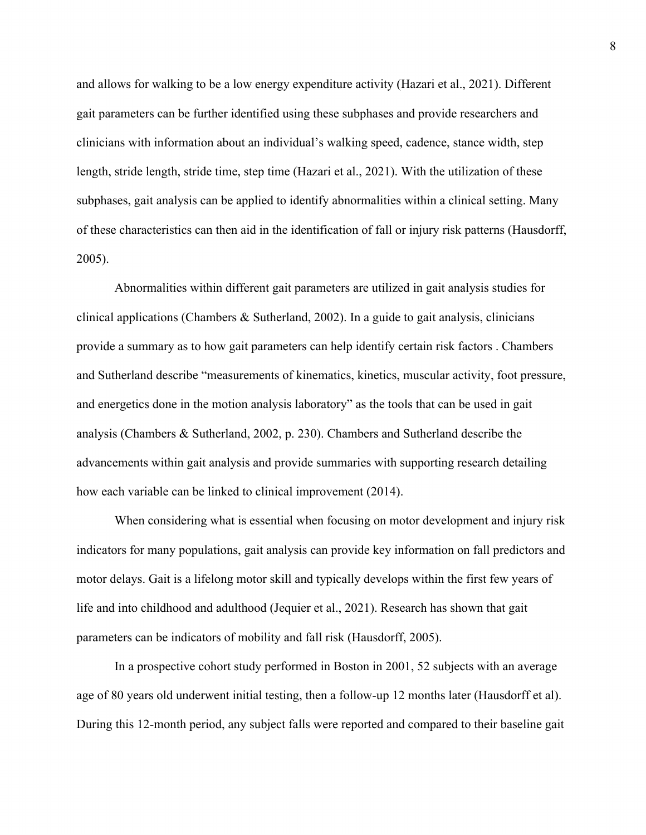and allows for walking to be a low energy expenditure activity (Hazari et al., 2021). Different gait parameters can be further identified using these subphases and provide researchers and clinicians with information about an individual's walking speed, cadence, stance width, step length, stride length, stride time, step time (Hazari et al., 2021). With the utilization of these subphases, gait analysis can be applied to identify abnormalities within a clinical setting. Many of these characteristics can then aid in the identification of fall or injury risk patterns (Hausdorff, 2005).

Abnormalities within different gait parameters are utilized in gait analysis studies for clinical applications (Chambers & Sutherland, 2002). In a guide to gait analysis, clinicians provide a summary as to how gait parameters can help identify certain risk factors . Chambers and Sutherland describe "measurements of kinematics, kinetics, muscular activity, foot pressure, and energetics done in the motion analysis laboratory" as the tools that can be used in gait analysis (Chambers & Sutherland, 2002, p. 230). Chambers and Sutherland describe the advancements within gait analysis and provide summaries with supporting research detailing how each variable can be linked to clinical improvement (2014).

When considering what is essential when focusing on motor development and injury risk indicators for many populations, gait analysis can provide key information on fall predictors and motor delays. Gait is a lifelong motor skill and typically develops within the first few years of life and into childhood and adulthood (Jequier et al., 2021). Research has shown that gait parameters can be indicators of mobility and fall risk (Hausdorff, 2005).

In a prospective cohort study performed in Boston in 2001, 52 subjects with an average age of 80 years old underwent initial testing, then a follow-up 12 months later (Hausdorff et al). During this 12-month period, any subject falls were reported and compared to their baseline gait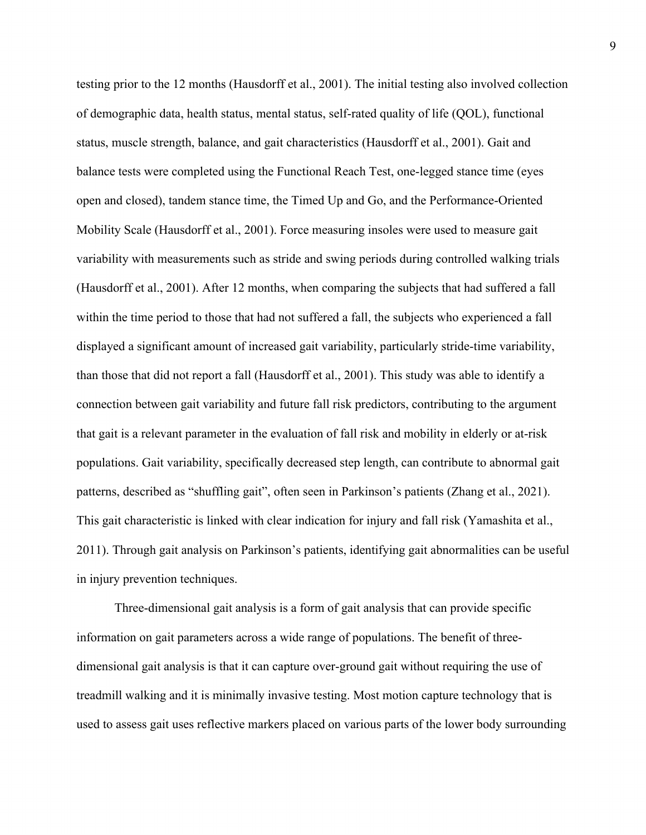testing prior to the 12 months (Hausdorff et al., 2001). The initial testing also involved collection of demographic data, health status, mental status, self-rated quality of life (QOL), functional status, muscle strength, balance, and gait characteristics (Hausdorff et al., 2001). Gait and balance tests were completed using the Functional Reach Test, one-legged stance time (eyes open and closed), tandem stance time, the Timed Up and Go, and the Performance-Oriented Mobility Scale (Hausdorff et al., 2001). Force measuring insoles were used to measure gait variability with measurements such as stride and swing periods during controlled walking trials (Hausdorff et al., 2001). After 12 months, when comparing the subjects that had suffered a fall within the time period to those that had not suffered a fall, the subjects who experienced a fall displayed a significant amount of increased gait variability, particularly stride-time variability, than those that did not report a fall (Hausdorff et al., 2001). This study was able to identify a connection between gait variability and future fall risk predictors, contributing to the argument that gait is a relevant parameter in the evaluation of fall risk and mobility in elderly or at-risk populations. Gait variability, specifically decreased step length, can contribute to abnormal gait patterns, described as "shuffling gait", often seen in Parkinson's patients (Zhang et al., 2021). This gait characteristic is linked with clear indication for injury and fall risk (Yamashita et al., 2011). Through gait analysis on Parkinson's patients, identifying gait abnormalities can be useful in injury prevention techniques.

Three-dimensional gait analysis is a form of gait analysis that can provide specific information on gait parameters across a wide range of populations. The benefit of threedimensional gait analysis is that it can capture over-ground gait without requiring the use of treadmill walking and it is minimally invasive testing. Most motion capture technology that is used to assess gait uses reflective markers placed on various parts of the lower body surrounding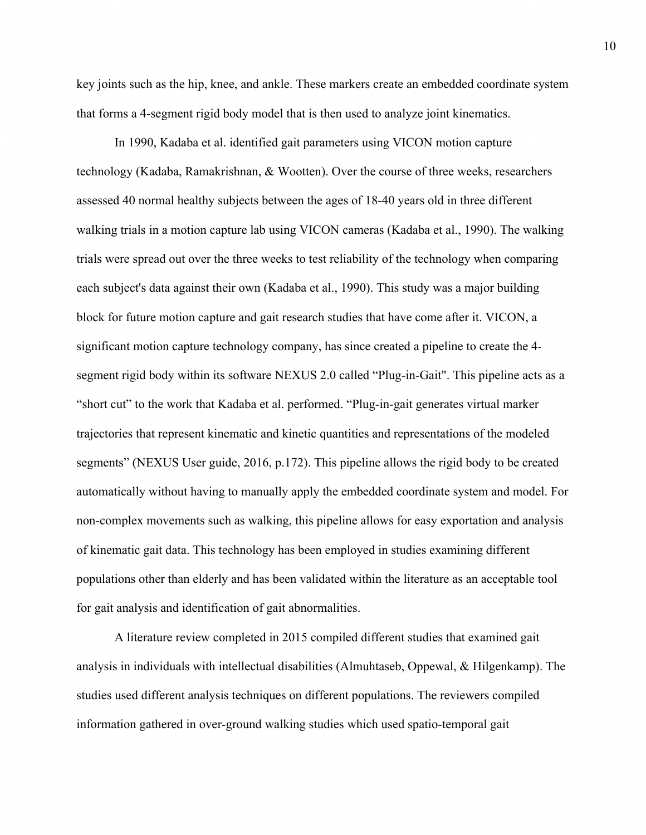key joints such as the hip, knee, and ankle. These markers create an embedded coordinate system that forms a 4-segment rigid body model that is then used to analyze joint kinematics.

In 1990, Kadaba et al. identified gait parameters using VICON motion capture technology (Kadaba, Ramakrishnan, & Wootten). Over the course of three weeks, researchers assessed 40 normal healthy subjects between the ages of 18-40 years old in three different walking trials in a motion capture lab using VICON cameras (Kadaba et al., 1990). The walking trials were spread out over the three weeks to test reliability of the technology when comparing each subject's data against their own (Kadaba et al., 1990). This study was a major building block for future motion capture and gait research studies that have come after it. VICON, a significant motion capture technology company, has since created a pipeline to create the 4 segment rigid body within its software NEXUS 2.0 called "Plug-in-Gait". This pipeline acts as a "short cut" to the work that Kadaba et al. performed. "Plug-in-gait generates virtual marker trajectories that represent kinematic and kinetic quantities and representations of the modeled segments" (NEXUS User guide, 2016, p.172). This pipeline allows the rigid body to be created automatically without having to manually apply the embedded coordinate system and model. For non-complex movements such as walking, this pipeline allows for easy exportation and analysis of kinematic gait data. This technology has been employed in studies examining different populations other than elderly and has been validated within the literature as an acceptable tool for gait analysis and identification of gait abnormalities.

A literature review completed in 2015 compiled different studies that examined gait analysis in individuals with intellectual disabilities (Almuhtaseb, Oppewal, & Hilgenkamp). The studies used different analysis techniques on different populations. The reviewers compiled information gathered in over-ground walking studies which used spatio-temporal gait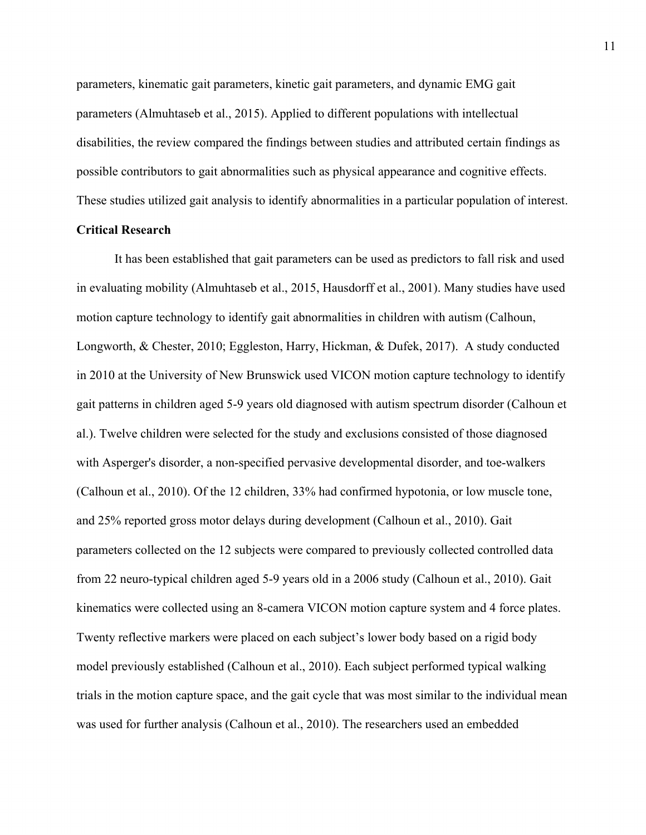parameters, kinematic gait parameters, kinetic gait parameters, and dynamic EMG gait parameters (Almuhtaseb et al., 2015). Applied to different populations with intellectual disabilities, the review compared the findings between studies and attributed certain findings as possible contributors to gait abnormalities such as physical appearance and cognitive effects. These studies utilized gait analysis to identify abnormalities in a particular population of interest.

#### **Critical Research**

It has been established that gait parameters can be used as predictors to fall risk and used in evaluating mobility (Almuhtaseb et al., 2015, Hausdorff et al., 2001). Many studies have used motion capture technology to identify gait abnormalities in children with autism (Calhoun, Longworth, & Chester, 2010; Eggleston, Harry, Hickman, & Dufek, 2017). A study conducted in 2010 at the University of New Brunswick used VICON motion capture technology to identify gait patterns in children aged 5-9 years old diagnosed with autism spectrum disorder (Calhoun et al.). Twelve children were selected for the study and exclusions consisted of those diagnosed with Asperger's disorder, a non-specified pervasive developmental disorder, and toe-walkers (Calhoun et al., 2010). Of the 12 children, 33% had confirmed hypotonia, or low muscle tone, and 25% reported gross motor delays during development (Calhoun et al., 2010). Gait parameters collected on the 12 subjects were compared to previously collected controlled data from 22 neuro-typical children aged 5-9 years old in a 2006 study (Calhoun et al., 2010). Gait kinematics were collected using an 8-camera VICON motion capture system and 4 force plates. Twenty reflective markers were placed on each subject's lower body based on a rigid body model previously established (Calhoun et al., 2010). Each subject performed typical walking trials in the motion capture space, and the gait cycle that was most similar to the individual mean was used for further analysis (Calhoun et al., 2010). The researchers used an embedded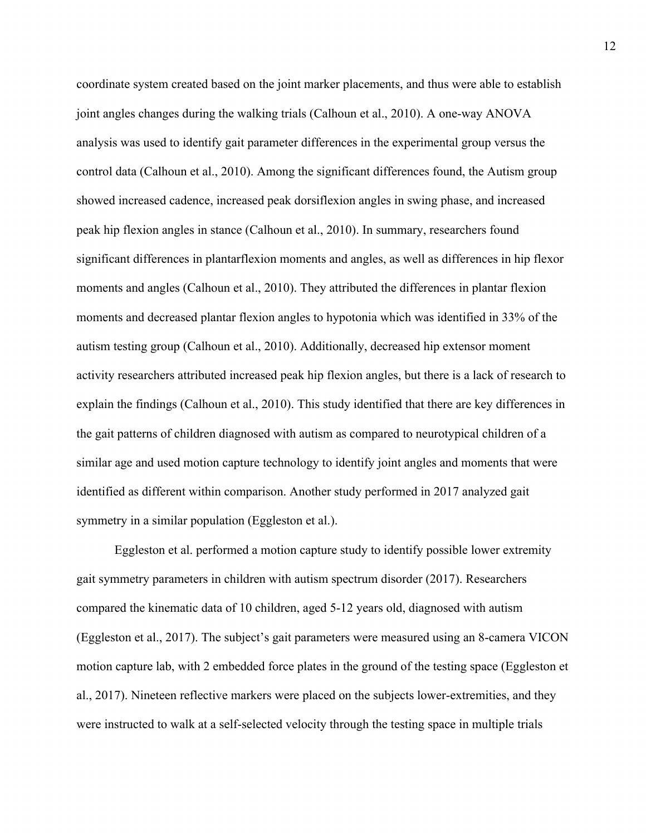coordinate system created based on the joint marker placements, and thus were able to establish joint angles changes during the walking trials (Calhoun et al., 2010). A one-way ANOVA analysis was used to identify gait parameter differences in the experimental group versus the control data (Calhoun et al., 2010). Among the significant differences found, the Autism group showed increased cadence, increased peak dorsiflexion angles in swing phase, and increased peak hip flexion angles in stance (Calhoun et al., 2010). In summary, researchers found significant differences in plantarflexion moments and angles, as well as differences in hip flexor moments and angles (Calhoun et al., 2010). They attributed the differences in plantar flexion moments and decreased plantar flexion angles to hypotonia which was identified in 33% of the autism testing group (Calhoun et al., 2010). Additionally, decreased hip extensor moment activity researchers attributed increased peak hip flexion angles, but there is a lack of research to explain the findings (Calhoun et al., 2010). This study identified that there are key differences in the gait patterns of children diagnosed with autism as compared to neurotypical children of a similar age and used motion capture technology to identify joint angles and moments that were identified as different within comparison. Another study performed in 2017 analyzed gait symmetry in a similar population (Eggleston et al.).

Eggleston et al. performed a motion capture study to identify possible lower extremity gait symmetry parameters in children with autism spectrum disorder (2017). Researchers compared the kinematic data of 10 children, aged 5-12 years old, diagnosed with autism (Eggleston et al., 2017). The subject's gait parameters were measured using an 8-camera VICON motion capture lab, with 2 embedded force plates in the ground of the testing space (Eggleston et al., 2017). Nineteen reflective markers were placed on the subjects lower-extremities, and they were instructed to walk at a self-selected velocity through the testing space in multiple trials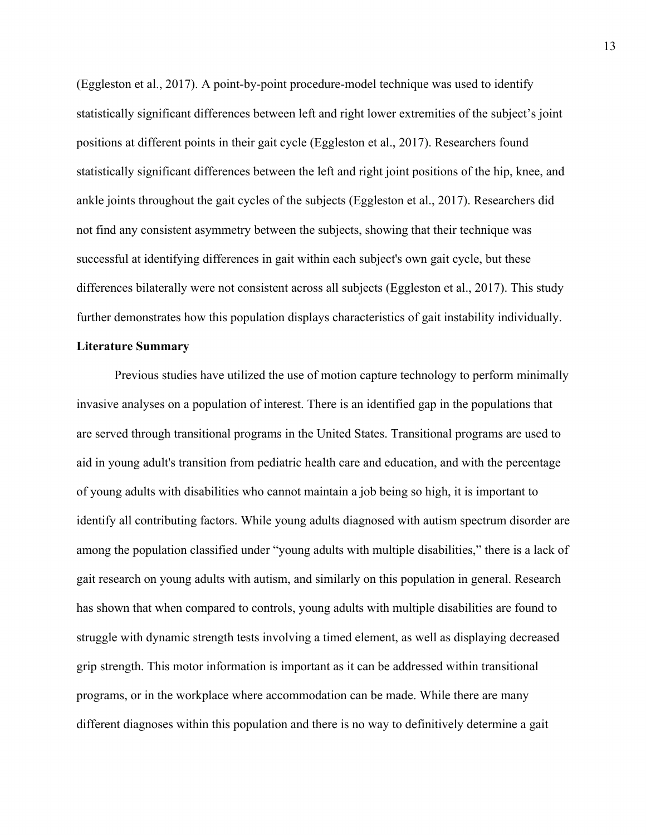(Eggleston et al., 2017). A point-by-point procedure-model technique was used to identify statistically significant differences between left and right lower extremities of the subject's joint positions at different points in their gait cycle (Eggleston et al., 2017). Researchers found statistically significant differences between the left and right joint positions of the hip, knee, and ankle joints throughout the gait cycles of the subjects (Eggleston et al., 2017). Researchers did not find any consistent asymmetry between the subjects, showing that their technique was successful at identifying differences in gait within each subject's own gait cycle, but these differences bilaterally were not consistent across all subjects (Eggleston et al., 2017). This study further demonstrates how this population displays characteristics of gait instability individually.

#### **Literature Summary**

Previous studies have utilized the use of motion capture technology to perform minimally invasive analyses on a population of interest. There is an identified gap in the populations that are served through transitional programs in the United States. Transitional programs are used to aid in young adult's transition from pediatric health care and education, and with the percentage of young adults with disabilities who cannot maintain a job being so high, it is important to identify all contributing factors. While young adults diagnosed with autism spectrum disorder are among the population classified under "young adults with multiple disabilities," there is a lack of gait research on young adults with autism, and similarly on this population in general. Research has shown that when compared to controls, young adults with multiple disabilities are found to struggle with dynamic strength tests involving a timed element, as well as displaying decreased grip strength. This motor information is important as it can be addressed within transitional programs, or in the workplace where accommodation can be made. While there are many different diagnoses within this population and there is no way to definitively determine a gait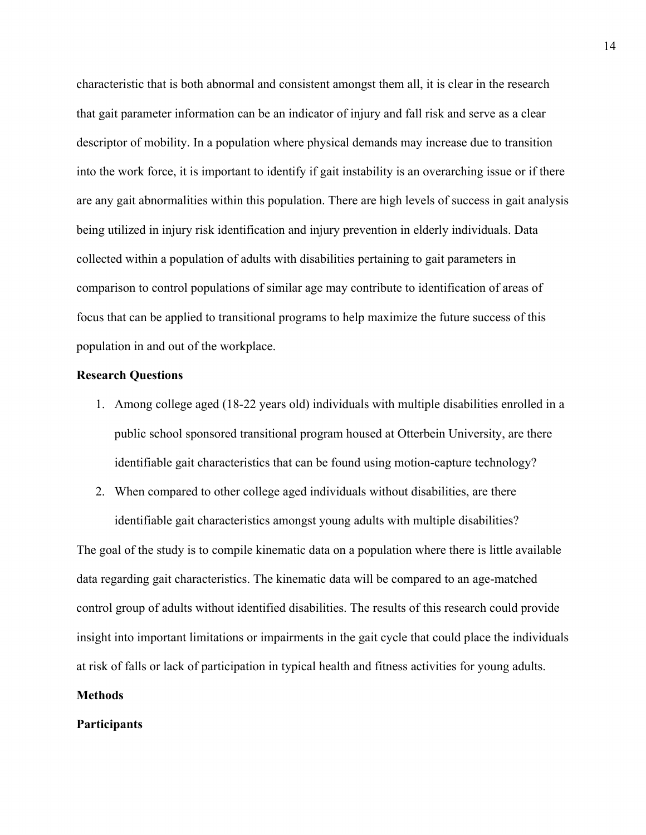characteristic that is both abnormal and consistent amongst them all, it is clear in the research that gait parameter information can be an indicator of injury and fall risk and serve as a clear descriptor of mobility. In a population where physical demands may increase due to transition into the work force, it is important to identify if gait instability is an overarching issue or if there are any gait abnormalities within this population. There are high levels of success in gait analysis being utilized in injury risk identification and injury prevention in elderly individuals. Data collected within a population of adults with disabilities pertaining to gait parameters in comparison to control populations of similar age may contribute to identification of areas of focus that can be applied to transitional programs to help maximize the future success of this population in and out of the workplace.

#### **Research Questions**

- 1. Among college aged (18-22 years old) individuals with multiple disabilities enrolled in a public school sponsored transitional program housed at Otterbein University, are there identifiable gait characteristics that can be found using motion-capture technology?
- 2. When compared to other college aged individuals without disabilities, are there identifiable gait characteristics amongst young adults with multiple disabilities?

The goal of the study is to compile kinematic data on a population where there is little available data regarding gait characteristics. The kinematic data will be compared to an age-matched control group of adults without identified disabilities. The results of this research could provide insight into important limitations or impairments in the gait cycle that could place the individuals at risk of falls or lack of participation in typical health and fitness activities for young adults.

# **Methods**

### **Participants**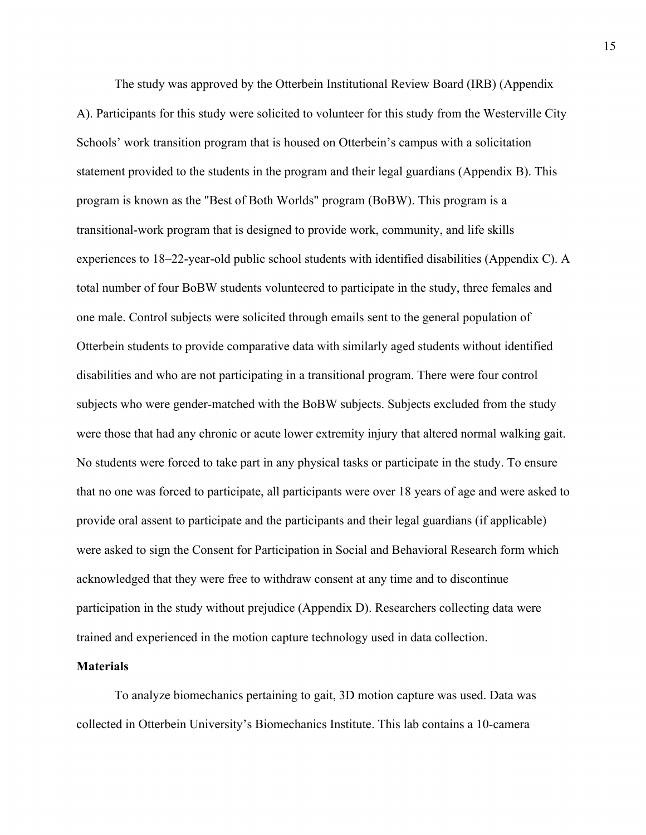The study was approved by the Otterbein Institutional Review Board (IRB) (Appendix A). Participants for this study were solicited to volunteer for this study from the Westerville City Schools' work transition program that is housed on Otterbein's campus with a solicitation statement provided to the students in the program and their legal guardians (Appendix B). This program is known as the "Best of Both Worlds" program (BoBW). This program is a transitional-work program that is designed to provide work, community, and life skills experiences to 18–22-year-old public school students with identified disabilities (Appendix C). A total number of four BoBW students volunteered to participate in the study, three females and one male. Control subjects were solicited through emails sent to the general population of Otterbein students to provide comparative data with similarly aged students without identified disabilities and who are not participating in a transitional program. There were four control subjects who were gender-matched with the BoBW subjects. Subjects excluded from the study were those that had any chronic or acute lower extremity injury that altered normal walking gait. No students were forced to take part in any physical tasks or participate in the study. To ensure that no one was forced to participate, all participants were over 18 years of age and were asked to provide oral assent to participate and the participants and their legal guardians (if applicable) were asked to sign the Consent for Participation in Social and Behavioral Research form which acknowledged that they were free to withdraw consent at any time and to discontinue participation in the study without prejudice (Appendix D). Researchers collecting data were trained and experienced in the motion capture technology used in data collection.

#### **Materials**

To analyze biomechanics pertaining to gait, 3D motion capture was used. Data was collected in Otterbein University's Biomechanics Institute. This lab contains a 10-camera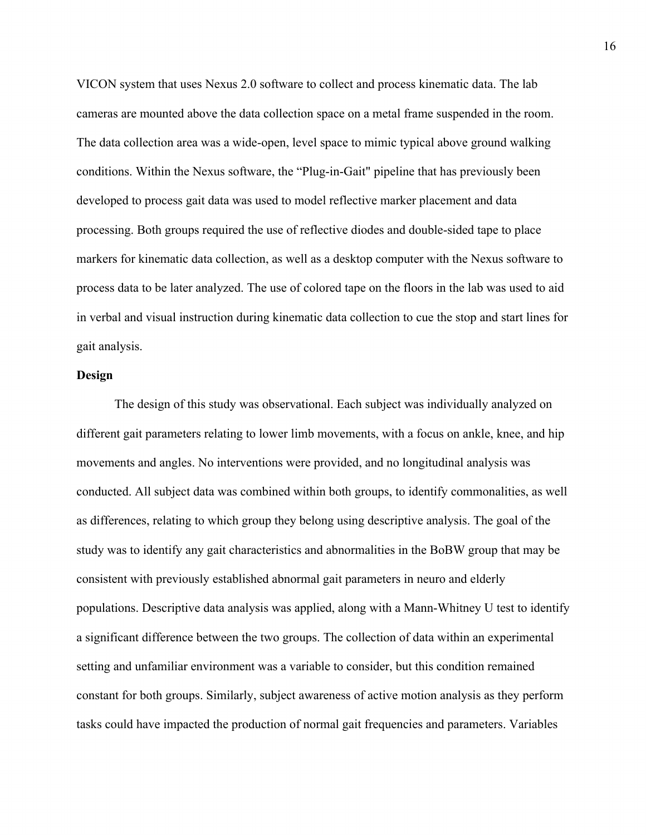VICON system that uses Nexus 2.0 software to collect and process kinematic data. The lab cameras are mounted above the data collection space on a metal frame suspended in the room. The data collection area was a wide-open, level space to mimic typical above ground walking conditions. Within the Nexus software, the "Plug-in-Gait" pipeline that has previously been developed to process gait data was used to model reflective marker placement and data processing. Both groups required the use of reflective diodes and double-sided tape to place markers for kinematic data collection, as well as a desktop computer with the Nexus software to process data to be later analyzed. The use of colored tape on the floors in the lab was used to aid in verbal and visual instruction during kinematic data collection to cue the stop and start lines for gait analysis.

#### **Design**

The design of this study was observational. Each subject was individually analyzed on different gait parameters relating to lower limb movements, with a focus on ankle, knee, and hip movements and angles. No interventions were provided, and no longitudinal analysis was conducted. All subject data was combined within both groups, to identify commonalities, as well as differences, relating to which group they belong using descriptive analysis. The goal of the study was to identify any gait characteristics and abnormalities in the BoBW group that may be consistent with previously established abnormal gait parameters in neuro and elderly populations. Descriptive data analysis was applied, along with a Mann-Whitney U test to identify a significant difference between the two groups. The collection of data within an experimental setting and unfamiliar environment was a variable to consider, but this condition remained constant for both groups. Similarly, subject awareness of active motion analysis as they perform tasks could have impacted the production of normal gait frequencies and parameters. Variables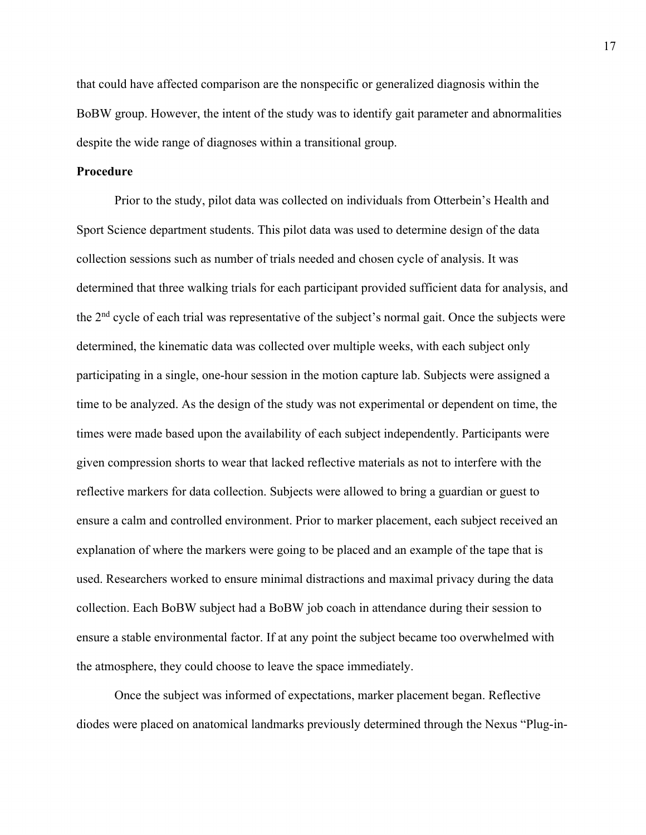that could have affected comparison are the nonspecific or generalized diagnosis within the BoBW group. However, the intent of the study was to identify gait parameter and abnormalities despite the wide range of diagnoses within a transitional group.

## **Procedure**

Prior to the study, pilot data was collected on individuals from Otterbein's Health and Sport Science department students. This pilot data was used to determine design of the data collection sessions such as number of trials needed and chosen cycle of analysis. It was determined that three walking trials for each participant provided sufficient data for analysis, and the 2nd cycle of each trial was representative of the subject's normal gait. Once the subjects were determined, the kinematic data was collected over multiple weeks, with each subject only participating in a single, one-hour session in the motion capture lab. Subjects were assigned a time to be analyzed. As the design of the study was not experimental or dependent on time, the times were made based upon the availability of each subject independently. Participants were given compression shorts to wear that lacked reflective materials as not to interfere with the reflective markers for data collection. Subjects were allowed to bring a guardian or guest to ensure a calm and controlled environment. Prior to marker placement, each subject received an explanation of where the markers were going to be placed and an example of the tape that is used. Researchers worked to ensure minimal distractions and maximal privacy during the data collection. Each BoBW subject had a BoBW job coach in attendance during their session to ensure a stable environmental factor. If at any point the subject became too overwhelmed with the atmosphere, they could choose to leave the space immediately.

Once the subject was informed of expectations, marker placement began. Reflective diodes were placed on anatomical landmarks previously determined through the Nexus "Plug-in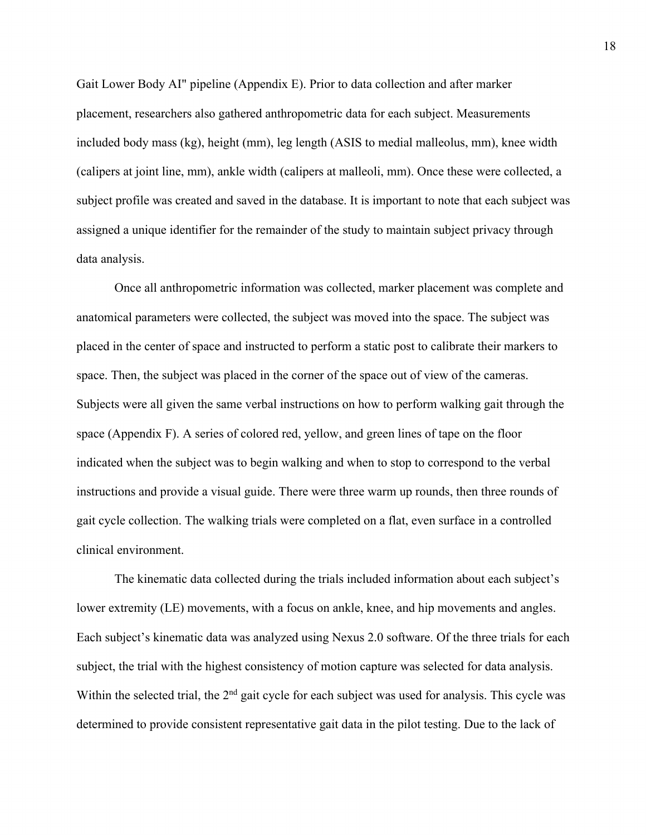Gait Lower Body AI" pipeline (Appendix E). Prior to data collection and after marker placement, researchers also gathered anthropometric data for each subject. Measurements included body mass (kg), height (mm), leg length (ASIS to medial malleolus, mm), knee width (calipers at joint line, mm), ankle width (calipers at malleoli, mm). Once these were collected, a subject profile was created and saved in the database. It is important to note that each subject was assigned a unique identifier for the remainder of the study to maintain subject privacy through data analysis.

Once all anthropometric information was collected, marker placement was complete and anatomical parameters were collected, the subject was moved into the space. The subject was placed in the center of space and instructed to perform a static post to calibrate their markers to space. Then, the subject was placed in the corner of the space out of view of the cameras. Subjects were all given the same verbal instructions on how to perform walking gait through the space (Appendix F). A series of colored red, yellow, and green lines of tape on the floor indicated when the subject was to begin walking and when to stop to correspond to the verbal instructions and provide a visual guide. There were three warm up rounds, then three rounds of gait cycle collection. The walking trials were completed on a flat, even surface in a controlled clinical environment.

The kinematic data collected during the trials included information about each subject's lower extremity (LE) movements, with a focus on ankle, knee, and hip movements and angles. Each subject's kinematic data was analyzed using Nexus 2.0 software. Of the three trials for each subject, the trial with the highest consistency of motion capture was selected for data analysis. Within the selected trial, the 2<sup>nd</sup> gait cycle for each subject was used for analysis. This cycle was determined to provide consistent representative gait data in the pilot testing. Due to the lack of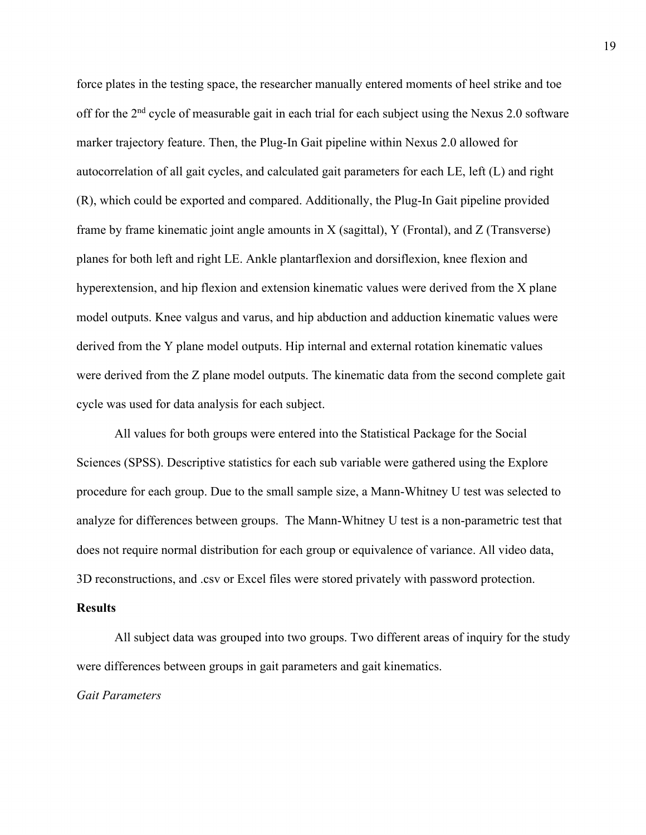force plates in the testing space, the researcher manually entered moments of heel strike and toe off for the 2<sup>nd</sup> cycle of measurable gait in each trial for each subject using the Nexus 2.0 software marker trajectory feature. Then, the Plug-In Gait pipeline within Nexus 2.0 allowed for autocorrelation of all gait cycles, and calculated gait parameters for each LE, left (L) and right (R), which could be exported and compared. Additionally, the Plug-In Gait pipeline provided frame by frame kinematic joint angle amounts in X (sagittal), Y (Frontal), and Z (Transverse) planes for both left and right LE. Ankle plantarflexion and dorsiflexion, knee flexion and hyperextension, and hip flexion and extension kinematic values were derived from the X plane model outputs. Knee valgus and varus, and hip abduction and adduction kinematic values were derived from the Y plane model outputs. Hip internal and external rotation kinematic values were derived from the Z plane model outputs. The kinematic data from the second complete gait cycle was used for data analysis for each subject.

All values for both groups were entered into the Statistical Package for the Social Sciences (SPSS). Descriptive statistics for each sub variable were gathered using the Explore procedure for each group. Due to the small sample size, a Mann-Whitney U test was selected to analyze for differences between groups. The Mann-Whitney U test is a non-parametric test that does not require normal distribution for each group or equivalence of variance. All video data, 3D reconstructions, and .csv or Excel files were stored privately with password protection.

#### **Results**

All subject data was grouped into two groups. Two different areas of inquiry for the study were differences between groups in gait parameters and gait kinematics.

*Gait Parameters*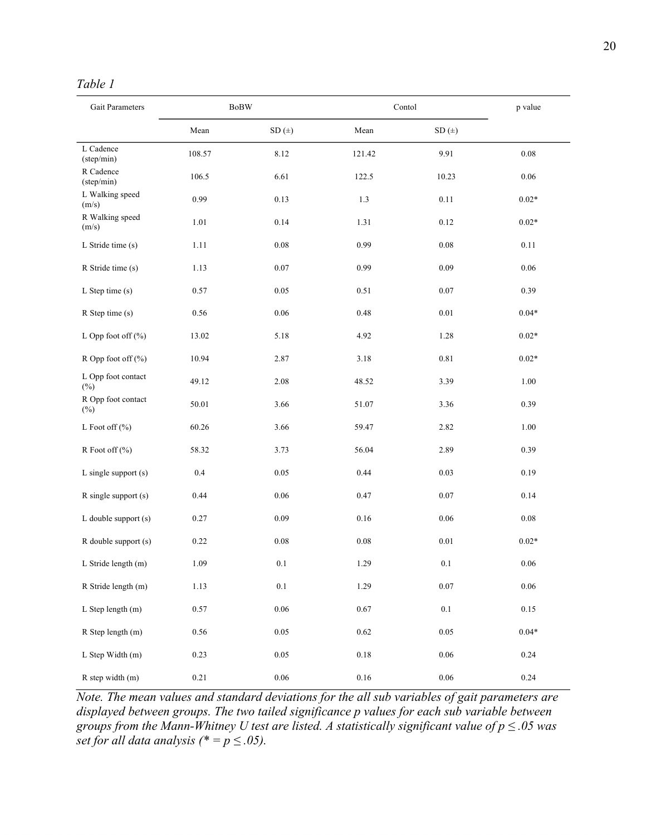# *Table 1*

| Gait Parameters              |          | $\operatorname{BoBW}$ | Contol   |          |          |  |  |  |  |
|------------------------------|----------|-----------------------|----------|----------|----------|--|--|--|--|
|                              | Mean     | SD(±)                 | Mean     | SD(±)    |          |  |  |  |  |
| L Cadence<br>(step/min)      | 108.57   | 8.12                  | 121.42   | 9.91     | 0.08     |  |  |  |  |
| R Cadence<br>(step/min)      | 106.5    | 6.61                  | 122.5    | 10.23    | 0.06     |  |  |  |  |
| L Walking speed<br>(m/s)     | 0.99     | 0.13                  | 1.3      | 0.11     | $0.02*$  |  |  |  |  |
| R Walking speed<br>(m/s)     | $1.01\,$ | 0.14                  | 1.31     | 0.12     | $0.02*$  |  |  |  |  |
| L Stride time (s)            | 1.11     | $0.08\,$              | 0.99     | $0.08\,$ | 0.11     |  |  |  |  |
| R Stride time (s)            | 1.13     | 0.07                  | 0.99     | 0.09     | $0.06\,$ |  |  |  |  |
| L Step time (s)              | 0.57     | 0.05                  | 0.51     | 0.07     | 0.39     |  |  |  |  |
| R Step time (s)              | 0.56     | 0.06                  | 0.48     | $0.01\,$ | $0.04*$  |  |  |  |  |
| L Opp foot off $(\%)$        | 13.02    | 5.18                  | 4.92     | 1.28     | $0.02*$  |  |  |  |  |
| R Opp foot off (%)           | 10.94    | 2.87                  | 3.18     | $0.81\,$ | $0.02*$  |  |  |  |  |
| L Opp foot contact<br>$(\%)$ | 49.12    | 2.08                  | 48.52    | 3.39     | 1.00     |  |  |  |  |
| R Opp foot contact<br>$(\%)$ | 50.01    | 3.66                  | 51.07    | 3.36     | 0.39     |  |  |  |  |
| L Foot off $(\% )$           | 60.26    | 3.66                  | 59.47    | 2.82     | 1.00     |  |  |  |  |
| R Foot off (%)               | 58.32    | 3.73                  | 56.04    | 2.89     | 0.39     |  |  |  |  |
| $L$ single support $(s)$     | 0.4      | 0.05                  | 0.44     | 0.03     | 0.19     |  |  |  |  |
| $R$ single support $(s)$     | 0.44     | 0.06                  | 0.47     | 0.07     | 0.14     |  |  |  |  |
| $L$ double support $(s)$     | 0.27     | 0.09                  | 0.16     | $0.06\,$ | 0.08     |  |  |  |  |
| R double support (s)         | 0.22     | 0.08                  | $0.08\,$ | $0.01\,$ | $0.02*$  |  |  |  |  |
| L Stride length (m)          | 1.09     | $0.1\,$               | 1.29     | $0.1\,$  | $0.06\,$ |  |  |  |  |
| R Stride length (m)          | 1.13     | $0.1\,$               | 1.29     | $0.07\,$ | 0.06     |  |  |  |  |
| L Step length (m)            | 0.57     | $0.06\,$              | 0.67     | $0.1\,$  | $0.15\,$ |  |  |  |  |
| R Step length (m)            | 0.56     | 0.05                  | 0.62     | 0.05     | $0.04*$  |  |  |  |  |
| L Step Width (m)             | 0.23     | $0.05\,$              | $0.18\,$ | 0.06     | 0.24     |  |  |  |  |
| R step width (m)             | 0.21     | $0.06\,$              | $0.16\,$ | $0.06\,$ | 0.24     |  |  |  |  |

*Note. The mean values and standard deviations for the all sub variables of gait parameters are displayed between groups. The two tailed significance p values for each sub variable between groups from the Mann-Whitney U test are listed. A statistically significant value of p ≤ .05 was set for all data analysis (\* =*  $p \leq .05$ *).*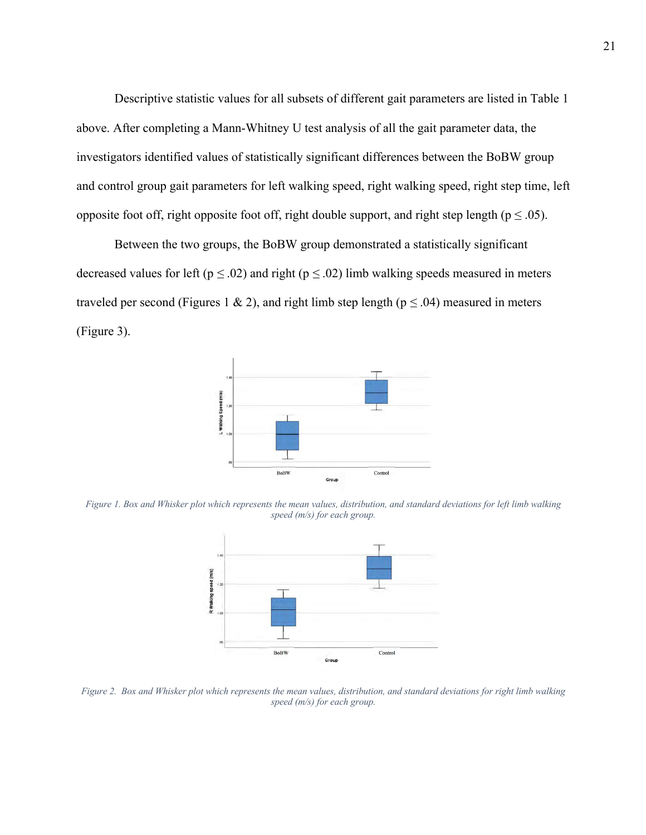Descriptive statistic values for all subsets of different gait parameters are listed in Table 1 above. After completing a Mann-Whitney U test analysis of all the gait parameter data, the investigators identified values of statistically significant differences between the BoBW group and control group gait parameters for left walking speed, right walking speed, right step time, left opposite foot off, right opposite foot off, right double support, and right step length ( $p \le 0.05$ ).

Between the two groups, the BoBW group demonstrated a statistically significant decreased values for left ( $p \le 0.02$ ) and right ( $p \le 0.02$ ) limb walking speeds measured in meters traveled per second (Figures 1 & 2), and right limb step length ( $p \le 0.04$ ) measured in meters (Figure 3).



*Figure 1. Box and Whisker plot which represents the mean values, distribution, and standard deviations for left limb walking speed (m/s) for each group.* 



*Figure 2. Box and Whisker plot which represents the mean values, distribution, and standard deviations for right limb walking speed (m/s) for each group.*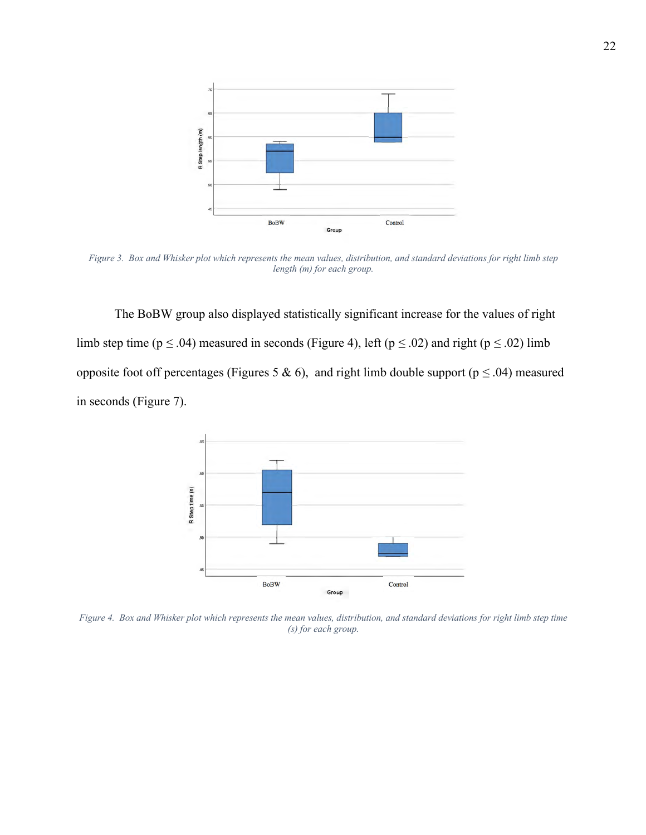

*Figure 3. Box and Whisker plot which represents the mean values, distribution, and standard deviations for right limb step length (m) for each group.* 

The BoBW group also displayed statistically significant increase for the values of right limb step time ( $p \le 0.04$ ) measured in seconds (Figure 4), left ( $p \le 0.02$ ) and right ( $p \le 0.02$ ) limb opposite foot off percentages (Figures 5 & 6), and right limb double support (p *≤* .04) measured in seconds (Figure 7).



*Figure 4. Box and Whisker plot which represents the mean values, distribution, and standard deviations for right limb step time (s) for each group.*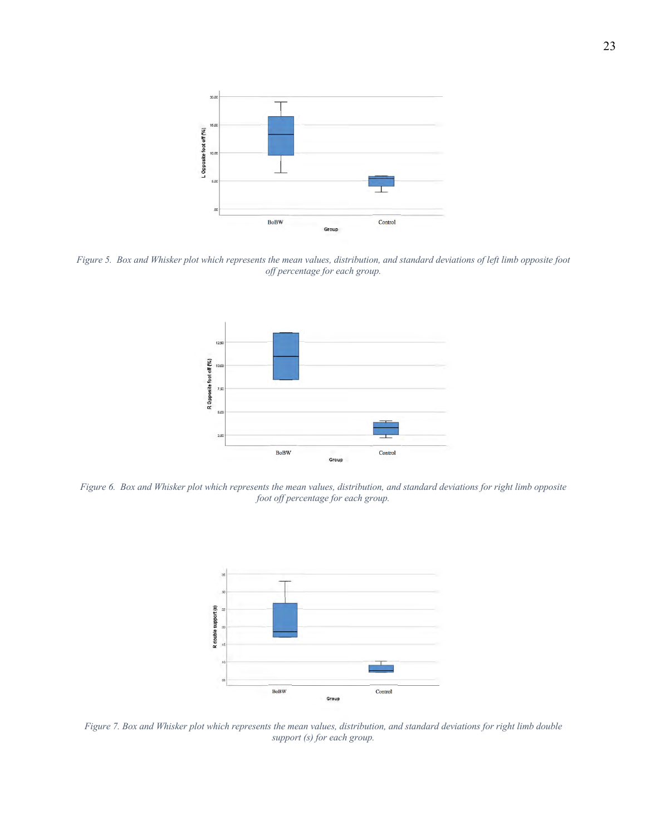

*Figure 5. Box and Whisker plot which represents the mean values, distribution, and standard deviations of left limb opposite foot off percentage for each group.* 



*Figure 6. Box and Whisker plot which represents the mean values, distribution, and standard deviations for right limb opposite foot off percentage for each group.* 



*Figure 7. Box and Whisker plot which represents the mean values, distribution, and standard deviations for right limb double support (s) for each group.*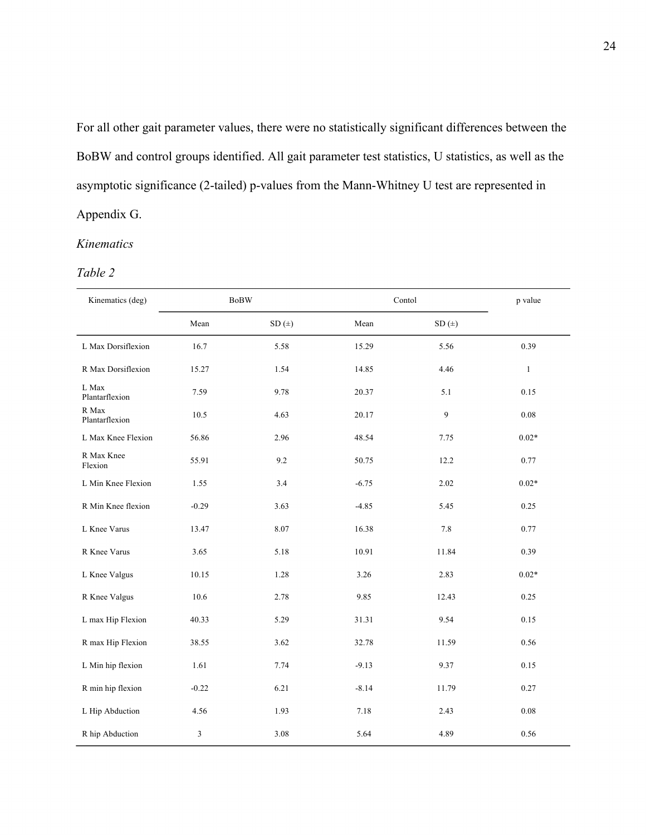For all other gait parameter values, there were no statistically significant differences between the BoBW and control groups identified. All gait parameter test statistics, U statistics, as well as the asymptotic significance (2-tailed) p-values from the Mann-Whitney U test are represented in Appendix G.

### *Kinematics*

#### *Table 2*

| Kinematics (deg)        |         | <b>BoBW</b> | Contol  |       |              |  |  |  |  |
|-------------------------|---------|-------------|---------|-------|--------------|--|--|--|--|
|                         | Mean    | $SD(+)$     | Mean    | SD(±) |              |  |  |  |  |
| L Max Dorsiflexion      | 16.7    | 5.58        | 15.29   | 5.56  | 0.39         |  |  |  |  |
| R Max Dorsiflexion      | 15.27   | 1.54        | 14.85   | 4.46  | $\mathbf{1}$ |  |  |  |  |
| L Max<br>Plantarflexion | 7.59    | 9.78        | 20.37   | 5.1   | 0.15         |  |  |  |  |
| R Max<br>Plantarflexion | 10.5    | 4.63        | 20.17   | 9     | 0.08         |  |  |  |  |
| L Max Knee Flexion      | 56.86   | 2.96        | 48.54   | 7.75  | $0.02*$      |  |  |  |  |
| R Max Knee<br>Flexion   | 55.91   | 9.2         | 50.75   | 12.2  | 0.77         |  |  |  |  |
| L Min Knee Flexion      | 1.55    | 3.4         | $-6.75$ | 2.02  | $0.02*$      |  |  |  |  |
| R Min Knee flexion      | $-0.29$ | 3.63        | $-4.85$ | 5.45  | 0.25         |  |  |  |  |
| L Knee Varus            | 13.47   | 8.07        | 16.38   | 7.8   | 0.77         |  |  |  |  |
| R Knee Varus            | 3.65    | 5.18        | 10.91   | 11.84 | 0.39         |  |  |  |  |
| L Knee Valgus           | 10.15   | 1.28        | 3.26    | 2.83  | $0.02*$      |  |  |  |  |
| R Knee Valgus           | 10.6    | 2.78        | 9.85    | 12.43 | 0.25         |  |  |  |  |
| L max Hip Flexion       | 40.33   | 5.29        | 31.31   | 9.54  | 0.15         |  |  |  |  |
| R max Hip Flexion       | 38.55   | 3.62        | 32.78   | 11.59 | 0.56         |  |  |  |  |
| L Min hip flexion       | 1.61    | 7.74        | $-9.13$ | 9.37  | 0.15         |  |  |  |  |
| R min hip flexion       | $-0.22$ | 6.21        | $-8.14$ | 11.79 | 0.27         |  |  |  |  |
| L Hip Abduction         | 4.56    | 1.93        | 7.18    | 2.43  | $0.08\,$     |  |  |  |  |
| R hip Abduction         | 3       | 3.08        | 5.64    | 4.89  | 0.56         |  |  |  |  |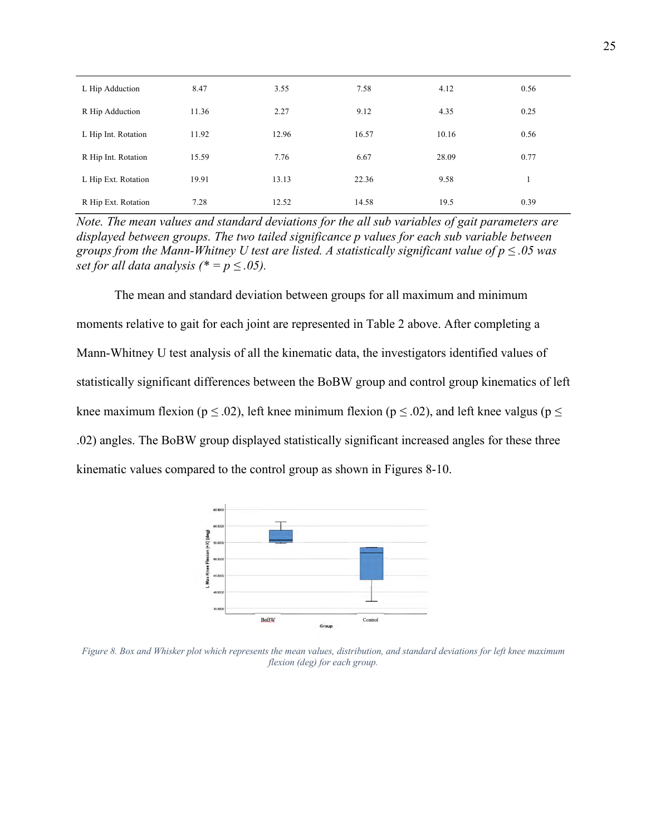| L Hip Adduction     | 8.47  | 3.55  | 7.58  | 4.12  | 0.56 |
|---------------------|-------|-------|-------|-------|------|
| R Hip Adduction     | 11.36 | 2.27  | 9.12  | 4.35  | 0.25 |
| L Hip Int. Rotation | 11.92 | 12.96 | 16.57 | 10.16 | 0.56 |
| R Hip Int. Rotation | 15.59 | 7.76  | 6.67  | 28.09 | 0.77 |
| L Hip Ext. Rotation | 19.91 | 13.13 | 22.36 | 9.58  |      |
| R Hip Ext. Rotation | 7.28  | 12.52 | 14.58 | 19.5  | 0.39 |

*Note. The mean values and standard deviations for the all sub variables of gait parameters are displayed between groups. The two tailed significance p values for each sub variable between groups from the Mann-Whitney U test are listed. A statistically significant value of p ≤ .05 was set for all data analysis* (\* =  $p \leq .05$ ).

The mean and standard deviation between groups for all maximum and minimum moments relative to gait for each joint are represented in Table 2 above. After completing a Mann-Whitney U test analysis of all the kinematic data, the investigators identified values of statistically significant differences between the BoBW group and control group kinematics of left knee maximum flexion ( $p \le 0.02$ ), left knee minimum flexion ( $p \le 0.02$ ), and left knee valgus ( $p \le$ .02) angles. The BoBW group displayed statistically significant increased angles for these three kinematic values compared to the control group as shown in Figures 8-10.



*Figure 8. Box and Whisker plot which represents the mean values, distribution, and standard deviations for left knee maximum flexion (deg) for each group.*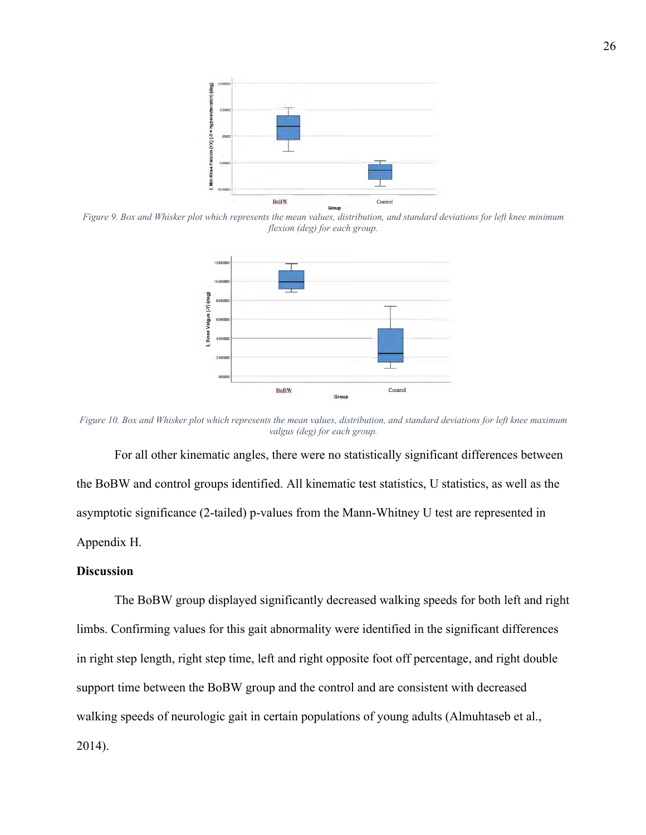

*Figure 9. Box and Whisker plot which represents the mean values, distribution, and standard deviations for left knee minimum flexion (deg) for each group.* 



*Figure 10. Box and Whisker plot which represents the mean values, distribution, and standard deviations for left knee maximum valgus (deg) for each group.* 

For all other kinematic angles, there were no statistically significant differences between the BoBW and control groups identified. All kinematic test statistics, U statistics, as well as the asymptotic significance (2-tailed) p-values from the Mann-Whitney U test are represented in Appendix H.

## **Discussion**

The BoBW group displayed significantly decreased walking speeds for both left and right limbs. Confirming values for this gait abnormality were identified in the significant differences in right step length, right step time, left and right opposite foot off percentage, and right double support time between the BoBW group and the control and are consistent with decreased walking speeds of neurologic gait in certain populations of young adults (Almuhtaseb et al., 2014).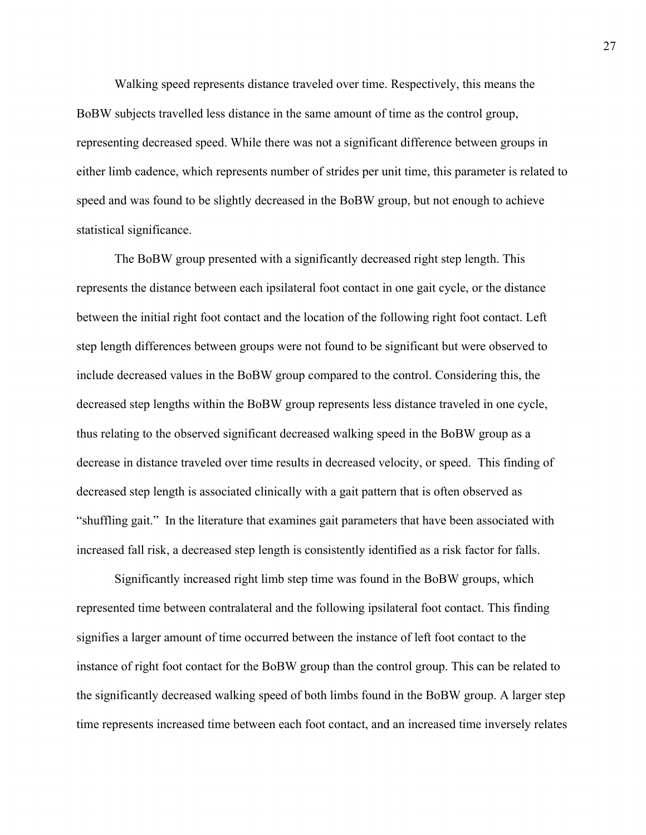Walking speed represents distance traveled over time. Respectively, this means the BoBW subjects travelled less distance in the same amount of time as the control group, representing decreased speed. While there was not a significant difference between groups in either limb cadence, which represents number of strides per unit time, this parameter is related to speed and was found to be slightly decreased in the BoBW group, but not enough to achieve statistical significance.

The BoBW group presented with a significantly decreased right step length. This represents the distance between each ipsilateral foot contact in one gait cycle, or the distance between the initial right foot contact and the location of the following right foot contact. Left step length differences between groups were not found to be significant but were observed to include decreased values in the BoBW group compared to the control. Considering this, the decreased step lengths within the BoBW group represents less distance traveled in one cycle, thus relating to the observed significant decreased walking speed in the BoBW group as a decrease in distance traveled over time results in decreased velocity, or speed. This finding of decreased step length is associated clinically with a gait pattern that is often observed as "shuffling gait." In the literature that examines gait parameters that have been associated with increased fall risk, a decreased step length is consistently identified as a risk factor for falls.

Significantly increased right limb step time was found in the BoBW groups, which represented time between contralateral and the following ipsilateral foot contact. This finding signifies a larger amount of time occurred between the instance of left foot contact to the instance of right foot contact for the BoBW group than the control group. This can be related to the significantly decreased walking speed of both limbs found in the BoBW group. A larger step time represents increased time between each foot contact, and an increased time inversely relates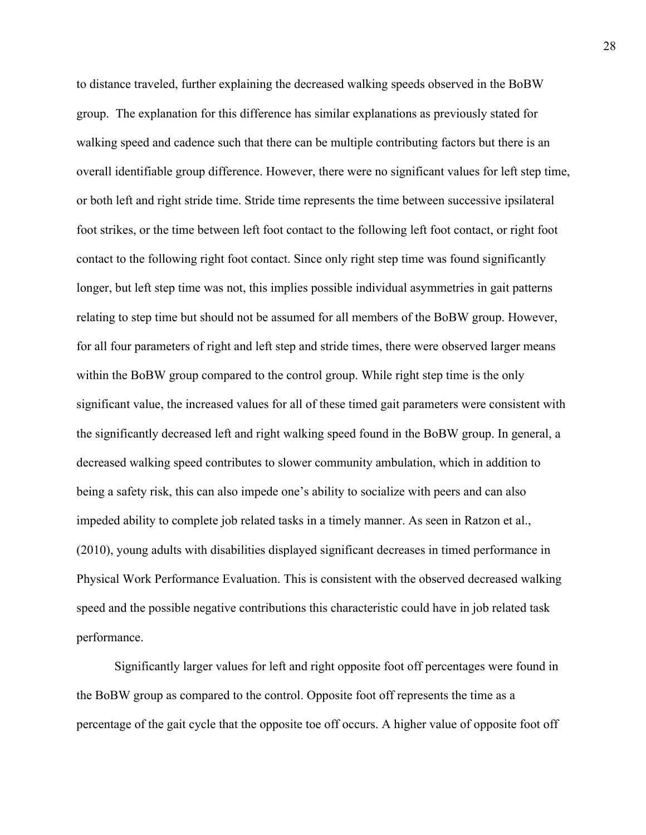to distance traveled, further explaining the decreased walking speeds observed in the BoBW group. The explanation for this difference has similar explanations as previously stated for walking speed and cadence such that there can be multiple contributing factors but there is an overall identifiable group difference. However, there were no significant values for left step time, or both left and right stride time. Stride time represents the time between successive ipsilateral foot strikes, or the time between left foot contact to the following left foot contact, or right foot contact to the following right foot contact. Since only right step time was found significantly longer, but left step time was not, this implies possible individual asymmetries in gait patterns relating to step time but should not be assumed for all members of the BoBW group. However, for all four parameters of right and left step and stride times, there were observed larger means within the BoBW group compared to the control group. While right step time is the only significant value, the increased values for all of these timed gait parameters were consistent with the significantly decreased left and right walking speed found in the BoBW group. In general, a decreased walking speed contributes to slower community ambulation, which in addition to being a safety risk, this can also impede one's ability to socialize with peers and can also impeded ability to complete job related tasks in a timely manner. As seen in Ratzon et al., (2010), young adults with disabilities displayed significant decreases in timed performance in Physical Work Performance Evaluation. This is consistent with the observed decreased walking speed and the possible negative contributions this characteristic could have in job related task performance.

Significantly larger values for left and right opposite foot off percentages were found in the BoBW group as compared to the control. Opposite foot off represents the time as a percentage of the gait cycle that the opposite toe off occurs. A higher value of opposite foot off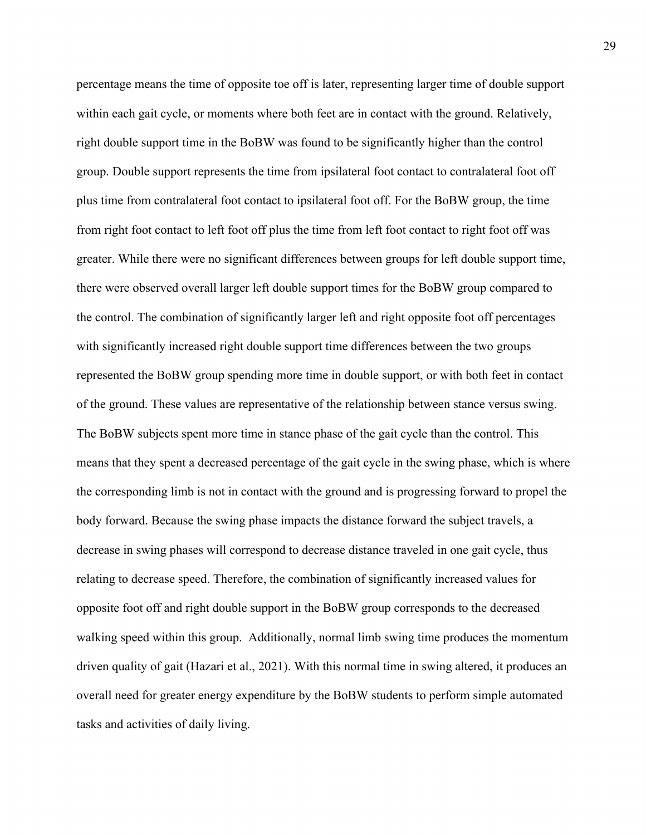percentage means the time of opposite toe off is later, representing larger time of double support within each gait cycle, or moments where both feet are in contact with the ground. Relatively, right double support time in the BoBW was found to be significantly higher than the control group. Double support represents the time from ipsilateral foot contact to contralateral foot off plus time from contralateral foot contact to ipsilateral foot off. For the BoBW group, the time from right foot contact to left foot off plus the time from left foot contact to right foot off was greater. While there were no significant differences between groups for left double support time, there were observed overall larger left double support times for the BoBW group compared to the control. The combination of significantly larger left and right opposite foot off percentages with significantly increased right double support time differences between the two groups represented the BoBW group spending more time in double support, or with both feet in contact of the ground. These values are representative of the relationship between stance versus swing. The BoBW subjects spent more time in stance phase of the gait cycle than the control. This means that they spent a decreased percentage of the gait cycle in the swing phase, which is where the corresponding limb is not in contact with the ground and is progressing forward to propel the body forward. Because the swing phase impacts the distance forward the subject travels, a decrease in swing phases will correspond to decrease distance traveled in one gait cycle, thus relating to decrease speed. Therefore, the combination of significantly increased values for opposite foot off and right double support in the BoBW group corresponds to the decreased walking speed within this group. Additionally, normal limb swing time produces the momentum driven quality of gait (Hazari et al., 2021). With this normal time in swing altered, it produces an overall need for greater energy expenditure by the BoBW students to perform simple automated tasks and activities of daily living.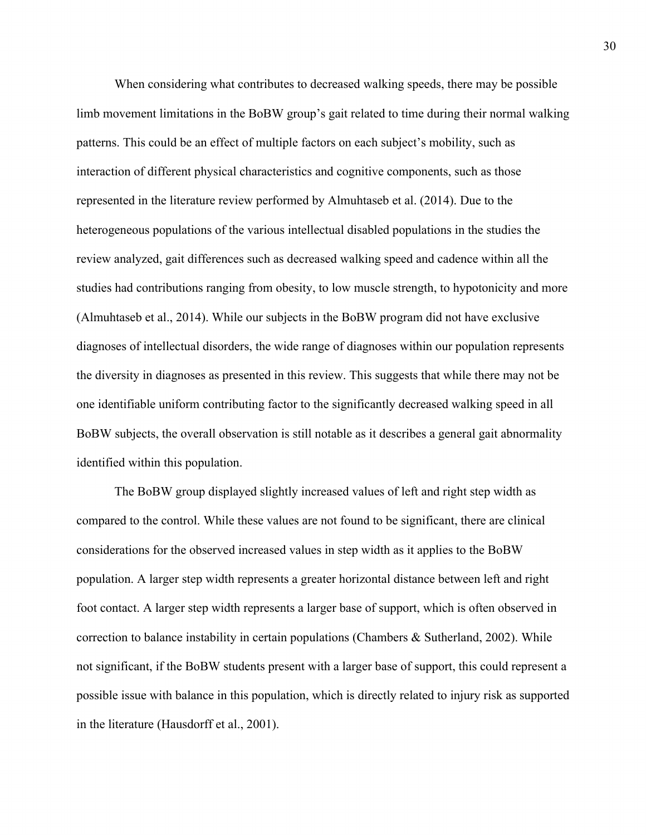When considering what contributes to decreased walking speeds, there may be possible limb movement limitations in the BoBW group's gait related to time during their normal walking patterns. This could be an effect of multiple factors on each subject's mobility, such as interaction of different physical characteristics and cognitive components, such as those represented in the literature review performed by Almuhtaseb et al. (2014). Due to the heterogeneous populations of the various intellectual disabled populations in the studies the review analyzed, gait differences such as decreased walking speed and cadence within all the studies had contributions ranging from obesity, to low muscle strength, to hypotonicity and more (Almuhtaseb et al., 2014). While our subjects in the BoBW program did not have exclusive diagnoses of intellectual disorders, the wide range of diagnoses within our population represents the diversity in diagnoses as presented in this review. This suggests that while there may not be one identifiable uniform contributing factor to the significantly decreased walking speed in all BoBW subjects, the overall observation is still notable as it describes a general gait abnormality identified within this population.

The BoBW group displayed slightly increased values of left and right step width as compared to the control. While these values are not found to be significant, there are clinical considerations for the observed increased values in step width as it applies to the BoBW population. A larger step width represents a greater horizontal distance between left and right foot contact. A larger step width represents a larger base of support, which is often observed in correction to balance instability in certain populations (Chambers & Sutherland, 2002). While not significant, if the BoBW students present with a larger base of support, this could represent a possible issue with balance in this population, which is directly related to injury risk as supported in the literature (Hausdorff et al., 2001).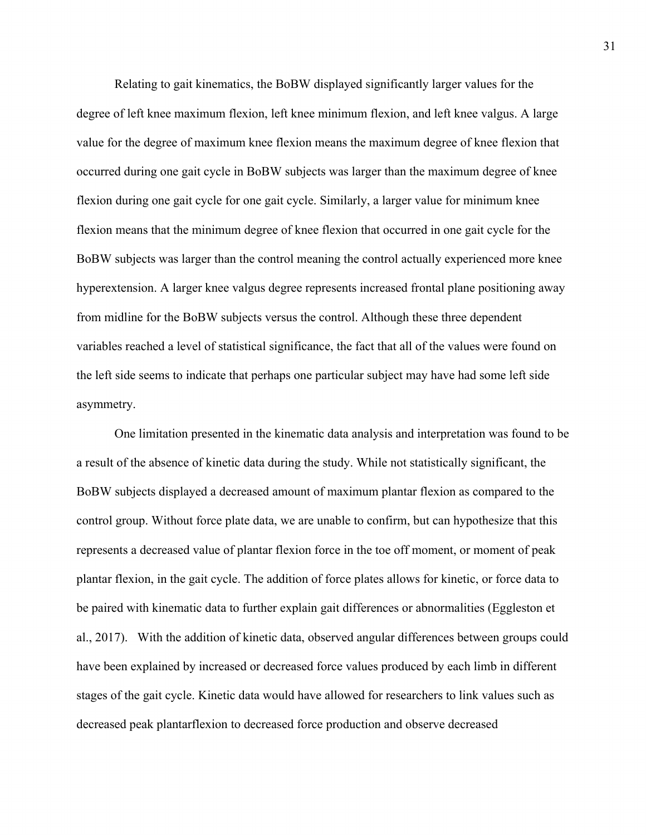Relating to gait kinematics, the BoBW displayed significantly larger values for the degree of left knee maximum flexion, left knee minimum flexion, and left knee valgus. A large value for the degree of maximum knee flexion means the maximum degree of knee flexion that occurred during one gait cycle in BoBW subjects was larger than the maximum degree of knee flexion during one gait cycle for one gait cycle. Similarly, a larger value for minimum knee flexion means that the minimum degree of knee flexion that occurred in one gait cycle for the BoBW subjects was larger than the control meaning the control actually experienced more knee hyperextension. A larger knee valgus degree represents increased frontal plane positioning away from midline for the BoBW subjects versus the control. Although these three dependent variables reached a level of statistical significance, the fact that all of the values were found on the left side seems to indicate that perhaps one particular subject may have had some left side asymmetry.

One limitation presented in the kinematic data analysis and interpretation was found to be a result of the absence of kinetic data during the study. While not statistically significant, the BoBW subjects displayed a decreased amount of maximum plantar flexion as compared to the control group. Without force plate data, we are unable to confirm, but can hypothesize that this represents a decreased value of plantar flexion force in the toe off moment, or moment of peak plantar flexion, in the gait cycle. The addition of force plates allows for kinetic, or force data to be paired with kinematic data to further explain gait differences or abnormalities (Eggleston et al., 2017). With the addition of kinetic data, observed angular differences between groups could have been explained by increased or decreased force values produced by each limb in different stages of the gait cycle. Kinetic data would have allowed for researchers to link values such as decreased peak plantarflexion to decreased force production and observe decreased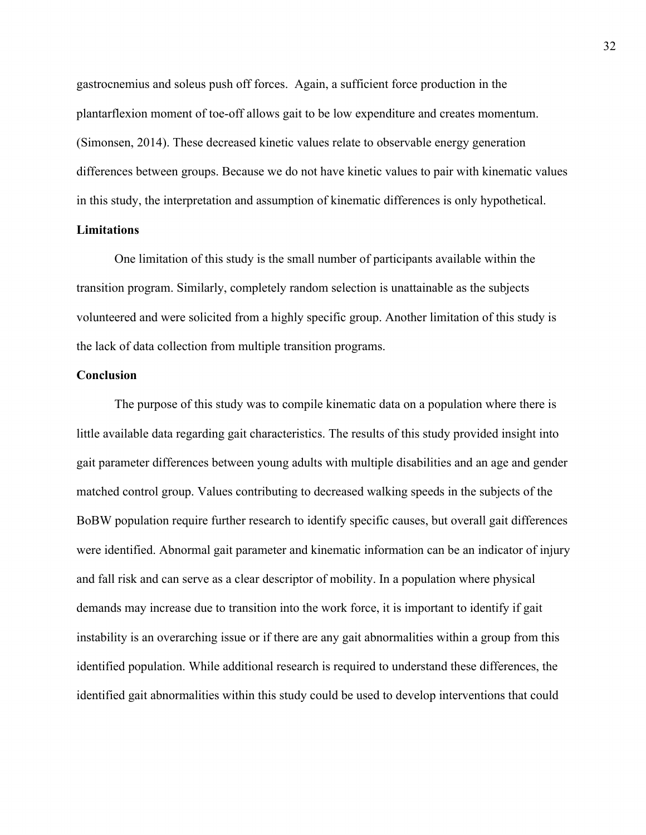gastrocnemius and soleus push off forces. Again, a sufficient force production in the plantarflexion moment of toe-off allows gait to be low expenditure and creates momentum. (Simonsen, 2014). These decreased kinetic values relate to observable energy generation differences between groups. Because we do not have kinetic values to pair with kinematic values in this study, the interpretation and assumption of kinematic differences is only hypothetical.

## **Limitations**

One limitation of this study is the small number of participants available within the transition program. Similarly, completely random selection is unattainable as the subjects volunteered and were solicited from a highly specific group. Another limitation of this study is the lack of data collection from multiple transition programs.

#### **Conclusion**

The purpose of this study was to compile kinematic data on a population where there is little available data regarding gait characteristics. The results of this study provided insight into gait parameter differences between young adults with multiple disabilities and an age and gender matched control group. Values contributing to decreased walking speeds in the subjects of the BoBW population require further research to identify specific causes, but overall gait differences were identified. Abnormal gait parameter and kinematic information can be an indicator of injury and fall risk and can serve as a clear descriptor of mobility. In a population where physical demands may increase due to transition into the work force, it is important to identify if gait instability is an overarching issue or if there are any gait abnormalities within a group from this identified population. While additional research is required to understand these differences, the identified gait abnormalities within this study could be used to develop interventions that could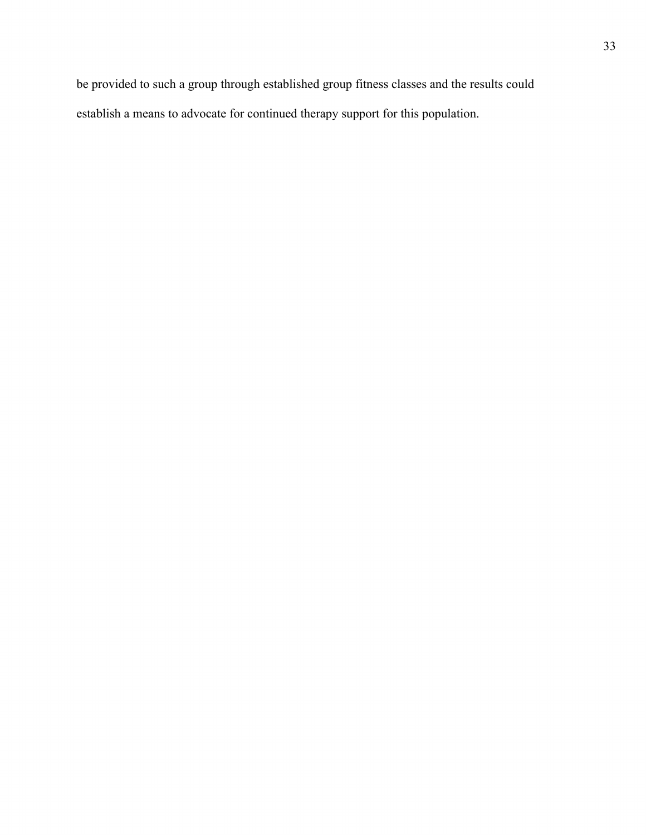be provided to such a group through established group fitness classes and the results could establish a means to advocate for continued therapy support for this population.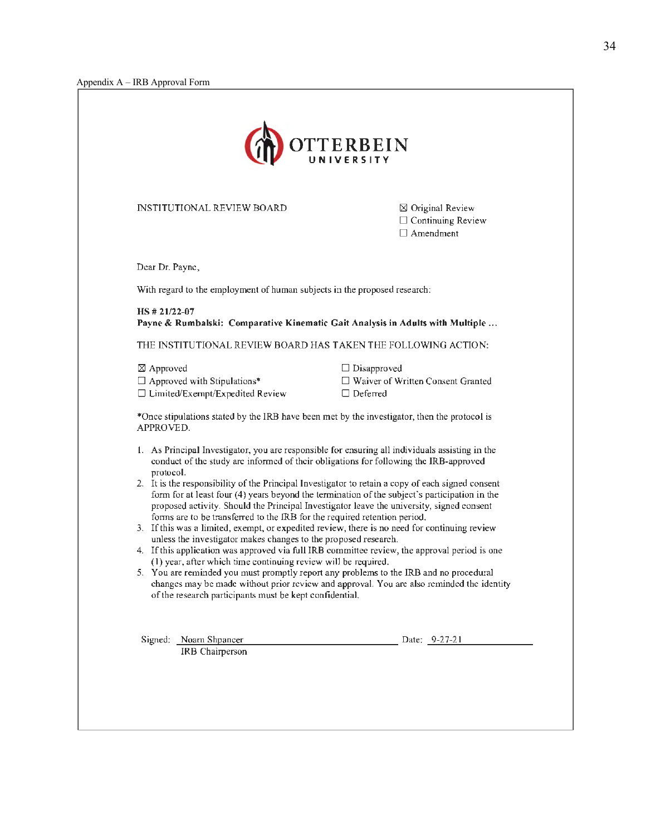

INSTITUTIONAL REVIEW BOARD

 $\boxtimes$  Original Review  $\square$  Continuing Review  $\Box$  Amendment

Dear Dr. Payne,

With regard to the employment of human subjects in the proposed research:

**HS** # **21/22-07 Payne** & **Rumbalski: Comparative Kinematic Gait Analysis in Adults with Multiple ...** 

THE INSTITUTIONAL REVIEW BOARD HAS TAKEN THE FOLLOWING ACTION:

 $\boxtimes$  Approved  $\square$  Approved with Stipulations\*

 $\square$  Limited/Exempt/Expedited Review

□ Disapproved

- D Waiver of Written Consent Granted
- $\Box$  Deferred

\*Once stipulations stated by the IRB have been met by the investigator, then the protocol is APPROVED.

- I. As Principal Investigator, you are responsible for ensuring all individuals assisting in the conduct of the study are infonned of their obligations for following the !RB-approved protocol.
- 2. It is the responsibility of the Principal Investigator to retain a copy of each signed consent form for at least four (4) years beyond the termination of the subject's participation in the proposed activity. Should the Principal Investigator leave the university, signed consent fonns are to be transferred to the IRB for the required retention period.
- 3. If this was a limited, exempt, or expedited review, there is no need for continuing review unless the investigator makes changes to the proposed research.
- 4. If this application was approved via full IRB committee review, the approval period is one ( I) year, after which time continuing review will be required.
- 5. You are reminded you must promptly report any problems to the IRB and no procedural changes may be made without prior review and approval. You are also reminded the identity of the research participants must be kept confidential.

Signed: Noam Shpancer IRB Chairperson Date: 9-27-21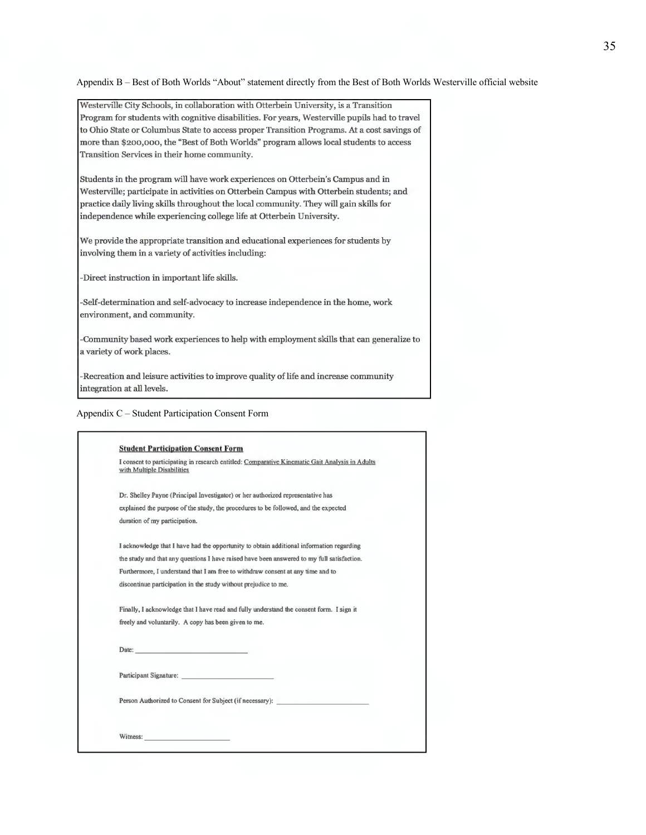Appendix B – Best of Both Worlds "About" statement directly from the Best of Both Worlds Westerville official website

Westerville City Schools, in collaboration with Otterbein University, is a Transition Program for students with cognitive disabilities. For years, Westerville pupils had to travel to Ohio State or Columbus State to access proper Transition Programs. At a cost savings of more than \$200,000, the "Best of Both Worlds" program allows local students to access Transition Services in their home community.

Students in the program will have work experiences on Otterbein's Campus and in Westerville; participate in activities on Otterbein Campus with Otterbein students; and practice daily living skills throughout the local community. They will gain skills for independence while experiencing college life at Otterbein University.

We provide the appropriate transition and educational experiences for students by involving them in a variety of activities including:

-Direct instruction in important life skills.

-Self-determination and self-advocacy to increase independence in the home, work environment, and community.

-Community based work experiences to help with employment skills that can generalize to a variety of work places.

-Recreation and leisure activities to improve quality of life and increase community integration at all levels.

|  |  |  | Appendix C - Student Participation Consent Form |  |
|--|--|--|-------------------------------------------------|--|
|  |  |  |                                                 |  |

| I consent to participating in research entitled: Comparative Kinematic Gait Analysis in Adults<br>with Multiple Disabilities |
|------------------------------------------------------------------------------------------------------------------------------|
| Dr. Shelley Payne (Principal Investigator) or her authorized representative has                                              |
| explained the purpose of the study, the procedures to be followed, and the expected                                          |
| duration of my participation.                                                                                                |
| I acknowledge that I have had the opportunity to obtain additional information regarding                                     |
| the study and that any questions I have raised have been answered to my full satisfaction.                                   |
| Furthermore, I understand that I am free to withdraw consent at any time and to                                              |
| discontinue participation in the study without prejudice to me.                                                              |
| Finally, I acknowledge that I have read and fully understand the consent form. I sign it                                     |
| freely and voluntarily. A copy has been given to me.                                                                         |
|                                                                                                                              |
| Participant Signature:                                                                                                       |
| Person Authorized to Consent for Subject (if necessary):                                                                     |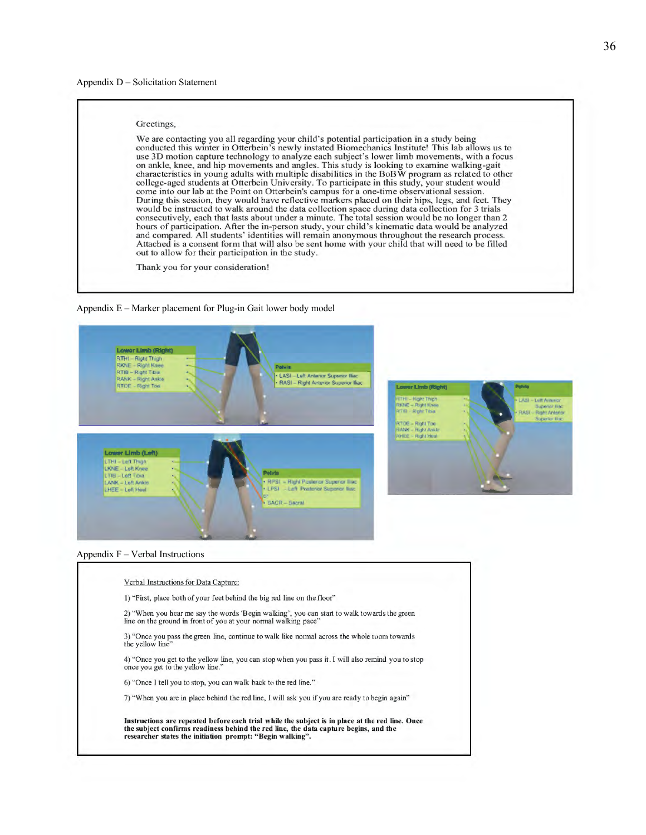#### Appendix D – Solicitation Statement

#### Greetings,

We are contacting you all regarding your child's potential participation in a study being conducted this winter in Otterbein's newly instated Biomechanics Institute! This lab allows us to use 3D motion capture technology to analyze each subject's lower limb movements, with a focus on ankle, knee, and hip movements and angles. This study is looking to examine walking-gait characteristics in young adults with multiple disabilities in the BoBW program as related to other college-aged students at Otterbein University. To participate in this study, your student would come into our lab at the Point on Otterbein's campus for a one-time observational session. During this session, they would have reflective markers placed on their hips, legs, and feet. They would be instructed to walk around the data collection space during data collection for 3 trials consecutively, each that lasts about under a minute. The total session would be no longer than 2 hours of participation. After the in-person study, your child's kinematic data would be analyzed and compared. All students' identities will remain anonymous throughout the research process. Attached is a consent form that will also be sent home with your child that will need to be filled out to allow for their participation in the study.

Thank you for your consideration!







Verbal Instructions for Data Capture:

I) "First, place both of your feet behind the big red line on the floor"

2) "When you hear me say the words 'Begin walking', you can start to walk towards the green line on the ground in front of you at your normal walking pace"

3) "Once you pass the green line, continue to walk like normal across the whole room towards the yellow line"

4) "Once you get to the yellow line, you can stop when you pass it. I will also remind you to stop once you get to the yellow line."

6) "Once I tell you to stop, you can walk back to the red line."

7) "When you are in place behind the red line, I will ask you if you are ready to begin again"

Instructions are repeated before each trial while the subject is in place at the red line. Once the subject confirms readiness behind the red line, the data capture begins, and the researcher states the initiation prompt: " Begin walking".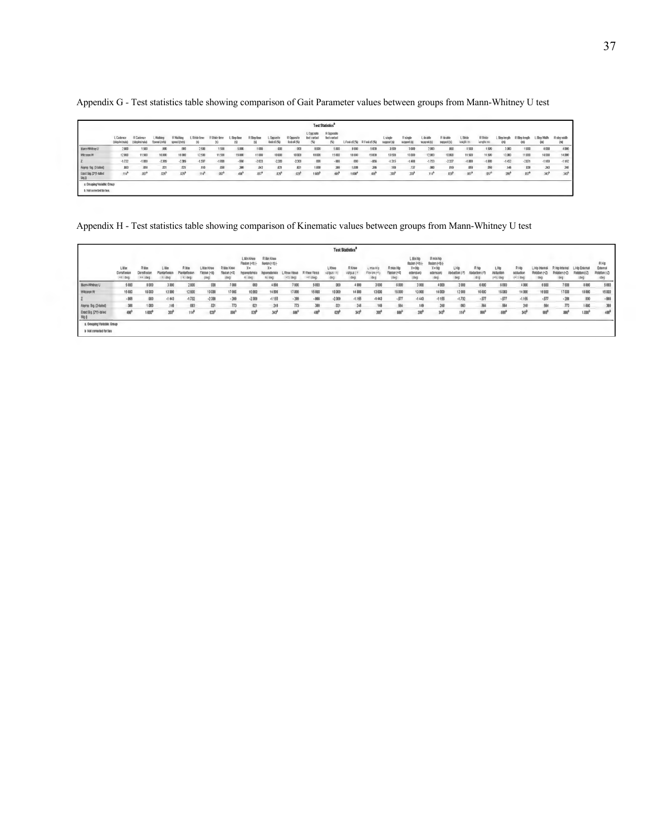|                                                           | <b>Test Statistics®</b>           |                           |                         |                                |                    |                |                  |                  |                         |                            |                                 |                                   |                |                        |                      |                         |                         |                         |                      |                            |                   |                      |                  |                      |
|-----------------------------------------------------------|-----------------------------------|---------------------------|-------------------------|--------------------------------|--------------------|----------------|------------------|------------------|-------------------------|----------------------------|---------------------------------|-----------------------------------|----------------|------------------------|----------------------|-------------------------|-------------------------|-------------------------|----------------------|----------------------------|-------------------|----------------------|------------------|----------------------|
|                                                           | <b>L</b> Cadence<br>(stephnitude) | R Cadenc<br>(stephningte) | L Wallar<br>Speed (m/s) | <b>R Walkin</b><br>speed (m/s) | L Stride time<br>働 | R Stride firme | Size line<br>в   | R Slee fine<br>岡 | L Ongost<br>lool of (%) | R Opposite<br>foot off (%) | L Opposite<br>foot cardact<br>需 | R Opposite<br>foot cartact<br>(5) | L Foot off [%] | R Foot off (%)         | L single<br>punpod 6 | R single<br>support (s) | L double<br>support (s) | R double<br>support (s) | L Shide<br>length ra | <b>R</b> Shide<br>leagh m) | L Slep length     | R Siep length<br>(m) | Sizo Wally<br>œ  | R sien width<br>(10) |
| <b>Mann-Whitney U</b>                                     | 2,000                             | 1.500                     | .000                    |                                | 2.500              | 1,500          | 5.000            | 1000             | 000                     | 001                        | 8.009                           | 5.000                             | 8 0 0 0        | 5 000                  | 3.500                | 3.000                   | 2.000                   | $.000 -$                | 1,500                | 1.500                      | 3.000             | 1.000                | 4,000            | 4,000                |
| Wilcogan W                                                | 12000                             | 11,500                    | 10,000                  | 10000                          | 12,500             | 11.500         | 15000            | 11000            | 10000                   | 10000                      | 18 000                          | 15 (00)                           | 18 000         | 15 000                 | 13500                | 13,000                  | 12,000                  | 10,000                  | 11,500               | 11,500                     | 13,000            | 11,000               | 14,000           | 14,000               |
|                                                           | $-1.732$                          | $-1.899$                  | $-2.309$                | $-2309$                        | $-1.597$           | $-1.899$       | $-866$           | $-2033$          | $-2,309$                | $-2.309$                   | $000 -$                         | $-866$                            | (00)           | $-866$                 | $-1.315$             | $-1.488$                | $-1.753$                | $-2337$                 | $-1.898$             | $-1.888$                   | $-1452$           | $-2.071$             | $-1.169$         | $-1162$              |
| Asymp. Sig. (2-tailed)                                    | DE3                               | 058                       | m <sub>1</sub>          | m                              | 110                | ,058           | 395              | B42              | .021                    | \$21                       | 1,000                           | 385                               | 1,000          | 386                    | ,189                 | 137                     | ,080                    | B19                     | ,059                 | 059                        | 148               | ,938                 | 243              | 245                  |
| Exact Sig. [2"(1-tailed<br>Sig.1                          | $114^{h}$                         | .057 <sup>h</sup>         | $029^{\circ}$           | .029 <sup>9</sup>              | $114^8$            | $057^3$        | 486 <sup>b</sup> | $057^{\circ}$    | .029 <sup>h</sup>       | .023 <sup>h</sup>          | 1.009 <sup>h</sup>              | 485 <sup>b</sup>                  | 1,000          | <b>485<sup>b</sup></b> | .208 <sup>3</sup>    | 209 <sup>h</sup>        | .114 <sup>b</sup>       | 0.39 <sup>9</sup>       | $B57^b$              | .057 <sup>b</sup>          | .200 <sup>9</sup> | .057 <sup>h</sup>    | 343 <sup>o</sup> | $343^{\circ}$        |
| a. Grouping Variable: Group<br>b. Not corrected for fies. |                                   |                           |                         |                                |                    |                |                  |                  |                         |                            |                                 |                                   |                |                        |                      |                         |                         |                         |                      |                            |                   |                      |                  |                      |

Appendix G *-* Test statistics table showing comparison of Gait Parameter values between groups from Mann-Whitney U test

Appendix H - Test statistics table showing comparison of Kinematic values between groups from Mann-Whitney U test

|                                                               |                                    |                                  |                                       |              |                                   |                    |                                                |                                                |                                   |                           |                           | <b>Test Statisties<sup>®</sup></b> |                                 |                           |                                                        |                                                                 |                            |                             |                            |                                  |                                        |                        |                                |                                       |
|---------------------------------------------------------------|------------------------------------|----------------------------------|---------------------------------------|--------------|-----------------------------------|--------------------|------------------------------------------------|------------------------------------------------|-----------------------------------|---------------------------|---------------------------|------------------------------------|---------------------------------|---------------------------|--------------------------------------------------------|-----------------------------------------------------------------|----------------------------|-----------------------------|----------------------------|----------------------------------|----------------------------------------|------------------------|--------------------------------|---------------------------------------|
|                                                               | Litar<br>DoraWesto<br>$eX = 0.001$ | Riller<br>Dorsifiento<br>as (deg | L Max<br><b>Plantarfesto</b><br>x deg | <b>R</b> Max | L Max Khoe<br>Texton (+)<br>(643) | R May Knee<br>1400 | L. Min Knee<br>Floxion (+X) (-<br>X×<br>$-043$ | R lilin Knoe<br>Renton (+X) (-<br>Xm<br>ni deg | L Knee Vanas<br>$(1)$ ( $(0.0)$ ) | R Knee Vanz<br>$+1$ (deg) | L Knoe<br>$1003 -$<br>deg | R Knoe<br>valgus (<br>deg)         | L max Hig<br>Flax on (+)<br>040 | R max Hip<br>Fission (+X) | L Min No<br>0049 Robert<br>X=No<br>edension<br>$($ deg | <b>R</b> min hip<br>9 (Pel missil)<br>X o hit<br>edansio<br>000 | LHIP<br>Abduction<br>$000$ | R hip<br>iduction<br>$-0.0$ | LHo<br>Adductio<br>407,000 | RHID<br>adduction<br>$(4)$ $440$ | L Hip Internal<br>Rotation (+Z)<br>deg | R Him Internati<br>440 | L Hip Edenta<br>$(\text{deg})$ | RHIG<br>Edam<br>Robriton (-Z)<br>(deg |
| Mann-Whitney U                                                | 5000                               | 8.000                            | 3000                                  | 2.000        | 000                               | 7.000              | 000                                            | 4800                                           | 7000                              | 5000                      | 000                       | 4 000                              | 3 000                           | 6000                      | 3 000                                                  | 4000                                                            | 2000                       | 6.000                       | 6000                       | 4 000                            | 6 0 0 0                                | 7.000                  | 8000                           | \$000                                 |
| Witgaran W                                                    | 15,000                             | 18000                            | 13000                                 | 12 000       | 10,000                            | 17,000             | 10,000                                         | 14 800                                         | 17,000                            | 15 000                    | 10000                     | 14 000                             | 13 000                          | 16000                     | 13,000                                                 | 14 000                                                          | 12000                      | 16000                       | 16000                      | 14 000                           | 16 000                                 | 17,000                 | 18 000                         | 15 000                                |
|                                                               | $-000$                             | 000                              | $-1.643$                              | $-1.332$     | $-2.300$                          | .209               | $-2,300$                                       | $-1155$                                        | .30%                              | .966                      | $-2.309$                  | $-1.165$                           | $-1443$                         | $-577$                    | $-1443$                                                | $-1155$                                                         | $-1.732$                   | .577                        | $-577$                     | $-1.155$                         | .577                                   | .208                   | 000                            | .006                                  |
| Asymp Sig (2-talied)                                          | 386                                | 1,080                            | 149                                   | 003          | 021                               | 773                | 021                                            | 240                                            | 773                               | 386                       | 021                       | 248                                | 140                             | 464                       | 149                                                    | 240                                                             | 003                        | 564                         | 564                        | 248                              | 564                                    | 773                    | 1.000                          | 388                                   |
| Exact Sig. [2"(1-bulod<br>341                                 | an <sup>3</sup>                    | 1000                             | 20 <sup>b</sup>                       | 114          | 029 <sup>3</sup>                  | 100 <sub>7</sub>   | 020                                            | 343 <sup>3</sup>                               | 100 <sub>3</sub>                  | 400                       | œř                        | $343^0$                            | 200 <sup>3</sup>                | <b>AN</b>                 | 280°                                                   | 343 <sup>3</sup>                                                | .114 <sup>b</sup>          | 881                         | 600                        | 343 <sup>b</sup>                 | m                                      | <b>AMP</b>             | 1,000                          | 408                                   |
| a. Orogolno Variable: Oroup<br><b>b</b> Net corrected for Des |                                    |                                  |                                       |              |                                   |                    |                                                |                                                |                                   |                           |                           |                                    |                                 |                           |                                                        |                                                                 |                            |                             |                            |                                  |                                        |                        |                                |                                       |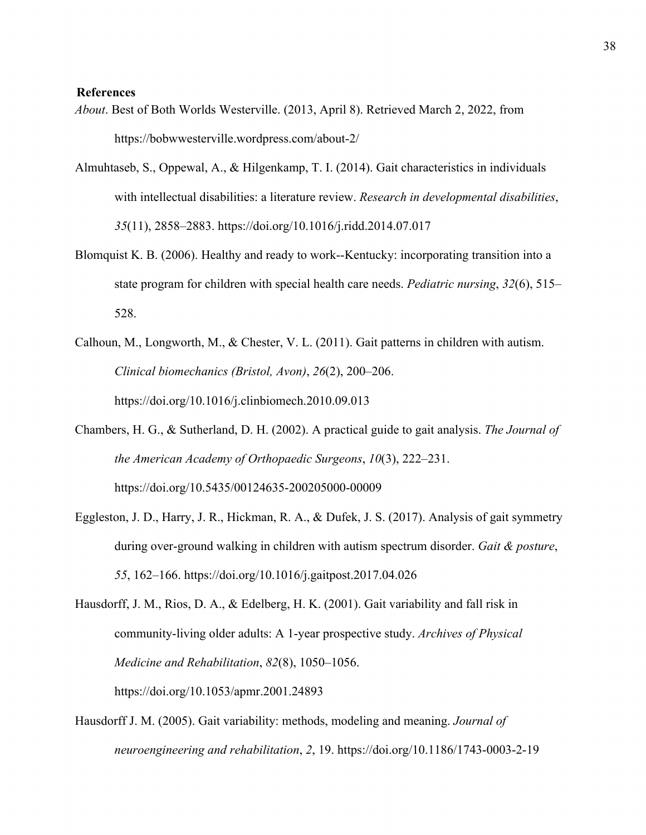### **References**

- *About*. Best of Both Worlds Westerville. (2013, April 8). Retrieved March 2, 2022, from <https://bobwwesterville.wordpress.com/about-2>/
- Almuhtaseb, S., Oppewal, A., & Hilgenkamp, T. I. (2014). Gait characteristics in individuals with intellectual disabilities: a literature review. *Research in developmental disabilities*, *35*(11), 2858–2883. <https://doi.org/10.1016/j.ridd.2014.07.017>
- Blomquist K. B. (2006). Healthy and ready to work--Kentucky: incorporating transition into a state program for children with special health care needs. *Pediatric nursing*, *32*(6), 515– 528.
- Calhoun, M., Longworth, M., & Chester, V. L. (2011). Gait patterns in children with autism. *Clinical biomechanics (Bristol, Avon)*, *26*(2), 200–206. <https://doi.org/10.1016/j.clinbiomech.2010.09.013>
- Chambers, H. G., & Sutherland, D. H. (2002). A practical guide to gait analysis. *The Journal of the American Academy of Orthopaedic Surgeons*, *10*(3), 222–231. <https://doi.org/10.5435/00124635-200205000-00009>
- Eggleston, J. D., Harry, J. R., Hickman, R. A., & Dufek, J. S. (2017). Analysis of gait symmetry during over-ground walking in children with autism spectrum disorder. *Gait & posture*, *55*, 162–166. <https://doi.org/10.1016/j.gaitpost.2017.04.026>
- Hausdorff, J. M., Rios, D. A., & Edelberg, H. K. (2001). Gait variability and fall risk in community-living older adults: A 1-year prospective study. *Archives of Physical Medicine and Rehabilitation*, *82*(8), 1050–1056. <https://doi.org/10.1053/apmr.2001.24893>
- Hausdorff J. M. (2005). Gait variability: methods, modeling and meaning. *Journal of neuroengineering and rehabilitation*, *2*, 19. <https://doi.org/10.1186/1743-0003-2-19>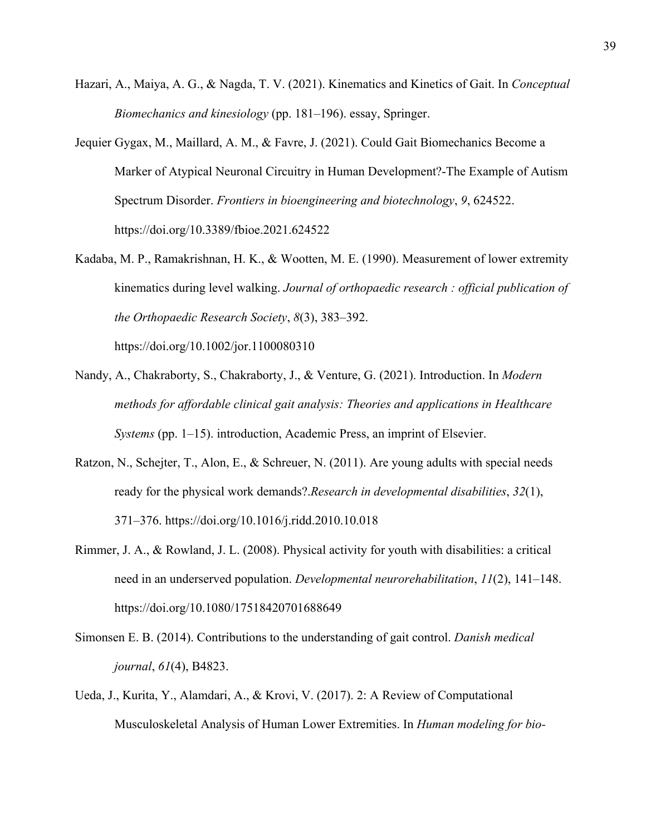- Hazari, A., Maiya, A. G., & Nagda, T. V. (2021). Kinematics and Kinetics of Gait. In *Conceptual Biomechanics and kinesiology* (pp. 181–196). essay, Springer.
- Jequier Gygax, M., Maillard, A. M., & Favre, J. (2021). Could Gait Biomechanics Become a Marker of Atypical Neuronal Circuitry in Human Development?-The Example of Autism Spectrum Disorder. *Frontiers in bioengineering and biotechnology*, *9*, 624522. <https://doi.org/10.3389/fbioe.2021.624522>
- Kadaba, M. P., Ramakrishnan, H. K., & Wootten, M. E. (1990). Measurement of lower extremity kinematics during level walking. *Journal of orthopaedic research : official publication of the Orthopaedic Research Society*, *8*(3), 383–392.

<https://doi.org/10.1002/jor.1100080310>

- Nandy, A., Chakraborty, S., Chakraborty, J., & Venture, G. (2021). Introduction. In *Modern methods for affordable clinical gait analysis: Theories and applications in Healthcare Systems* (pp. 1–15). introduction, Academic Press, an imprint of Elsevier.
- Ratzon, N., Schejter, T., Alon, E., & Schreuer, N. (2011). Are young adults with special needs ready for the physical work demands?.*Research in developmental disabilities*, *32*(1), 371–376. <https://doi.org/10.1016/j.ridd.2010.10.018>
- Rimmer, J. A., & Rowland, J. L. (2008). Physical activity for youth with disabilities: a critical need in an underserved population. *Developmental neurorehabilitation*, *11*(2), 141–148. <https://doi.org/10.1080/17518420701688649>
- Simonsen E. B. (2014). Contributions to the understanding of gait control. *Danish medical journal*, *61*(4), B4823.
- Ueda, J., Kurita, Y., Alamdari, A., & Krovi, V. (2017). 2: A Review of Computational Musculoskeletal Analysis of Human Lower Extremities. In *Human modeling for bio-*